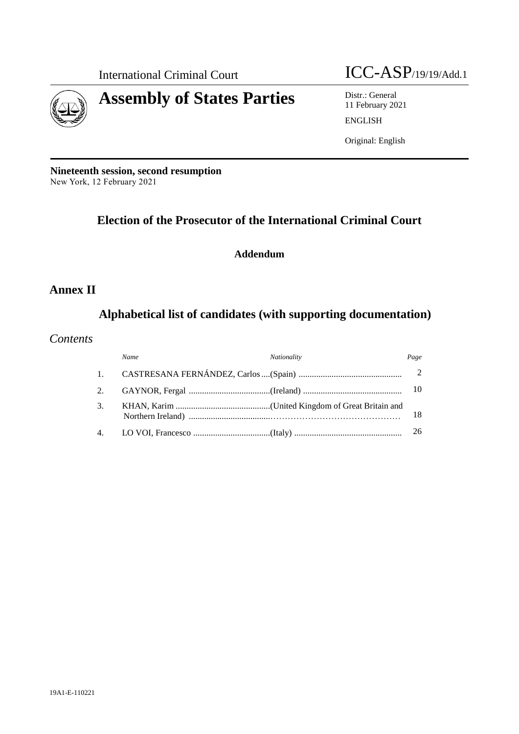

International Criminal Court ICC-ASP/19/19/Add.1

11 February 2021 ENGLISH

Original: English

**Nineteenth session, second resumption** New York, 12 February 2021

# **Election of the Prosecutor of the International Criminal Court**

# **Addendum**

# **Annex II**

# **Alphabetical list of candidates (with supporting documentation)**

# *Contents*

|    | Name | Nationality | Page |
|----|------|-------------|------|
|    |      |             |      |
|    |      |             |      |
| 3. |      |             | 18   |
|    |      |             |      |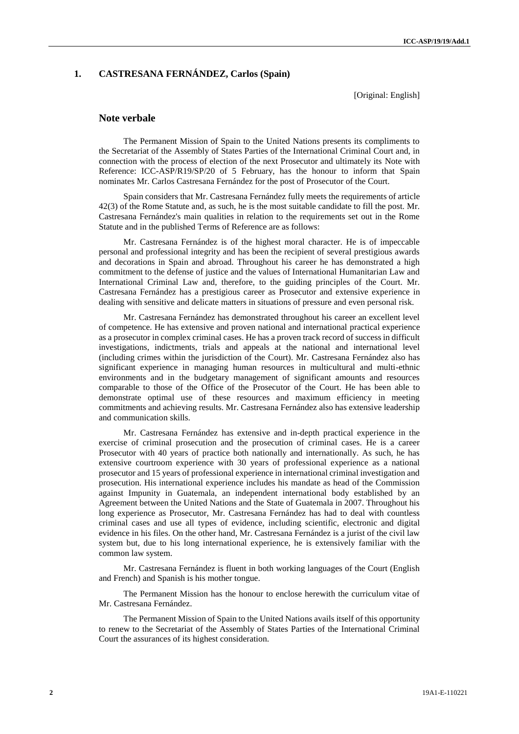# **1. CASTRESANA FERNÁNDEZ, Carlos (Spain)**

[Original: English]

## **Note verbale**

The Permanent Mission of Spain to the United Nations presents its compliments to the Secretariat of the Assembly of States Parties of the International Criminal Court and, in connection with the process of election of the next Prosecutor and ultimately its Note with Reference: ICC-ASP/R19/SP/20 of 5 February, has the honour to inform that Spain nominates Mr. Carlos Castresana Fernández for the post of Prosecutor of the Court.

Spain considers that Mr. Castresana Fernández fully meets the requirements of article 42(3) of the Rome Statute and, as such, he is the most suitable candidate to fill the post. Mr. Castresana Fernández's main qualities in relation to the requirements set out in the Rome Statute and in the published Terms of Reference are as follows:

Mr. Castresana Fernández is of the highest moral character. He is of impeccable personal and professional integrity and has been the recipient of several prestigious awards and decorations in Spain and abroad. Throughout his career he has demonstrated a high commitment to the defense of justice and the values of International Humanitarian Law and International Criminal Law and, therefore, to the guiding principles of the Court. Mr. Castresana Fernández has a prestigious career as Prosecutor and extensive experience in dealing with sensitive and delicate matters in situations of pressure and even personal risk.

Mr. Castresana Fernández has demonstrated throughout his career an excellent level of competence. He has extensive and proven national and international practical experience as a prosecutor in complex criminal cases. He has a proven track record of success in difficult investigations, indictments, trials and appeals at the national and international level (including crimes within the jurisdiction of the Court). Mr. Castresana Fernández also has significant experience in managing human resources in multicultural and multi-ethnic environments and in the budgetary management of significant amounts and resources comparable to those of the Office of the Prosecutor of the Court. He has been able to demonstrate optimal use of these resources and maximum efficiency in meeting commitments and achieving results. Mr. Castresana Fernández also has extensive leadership and communication skills.

Mr. Castresana Fernández has extensive and in-depth practical experience in the exercise of criminal prosecution and the prosecution of criminal cases. He is a career Prosecutor with 40 years of practice both nationally and internationally. As such, he has extensive courtroom experience with 30 years of professional experience as a national prosecutor and 15 years of professional experience in international criminal investigation and prosecution. His international experience includes his mandate as head of the Commission against Impunity in Guatemala, an independent international body established by an Agreement between the United Nations and the State of Guatemala in 2007. Throughout his long experience as Prosecutor, Mr. Castresana Fernández has had to deal with countless criminal cases and use all types of evidence, including scientific, electronic and digital evidence in his files. On the other hand, Mr. Castresana Fernández is a jurist of the civil law system but, due to his long international experience, he is extensively familiar with the common law system.

Mr. Castresana Fernández is fluent in both working languages of the Court (English and French) and Spanish is his mother tongue.

The Permanent Mission has the honour to enclose herewith the curriculum vitae of Mr. Castresana Fernández.

The Permanent Mission of Spain to the United Nations avails itself of this opportunity to renew to the Secretariat of the Assembly of States Parties of the International Criminal Court the assurances of its highest consideration.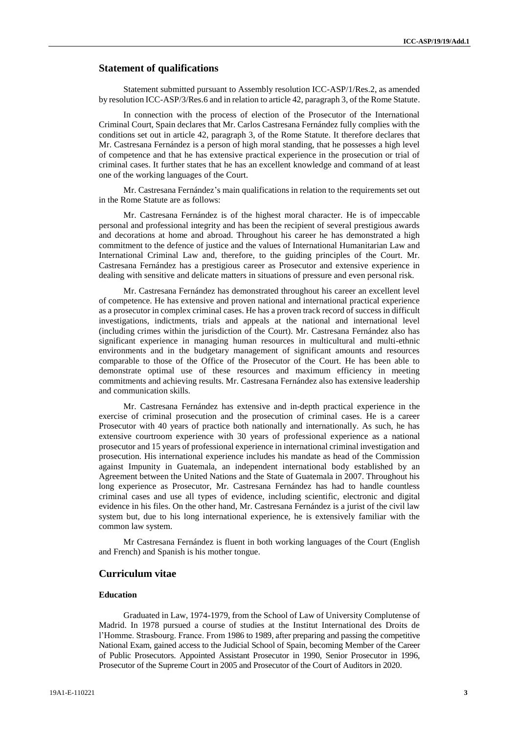# **Statement of qualifications**

Statement submitted pursuant to Assembly resolution ICC-ASP/1/Res.2, as amended by resolution ICC-ASP/3/Res.6 and in relation to article 42, paragraph 3, of the Rome Statute.

In connection with the process of election of the Prosecutor of the International Criminal Court, Spain declares that Mr. Carlos Castresana Fernández fully complies with the conditions set out in article 42, paragraph 3, of the Rome Statute. It therefore declares that Mr. Castresana Fernández is a person of high moral standing, that he possesses a high level of competence and that he has extensive practical experience in the prosecution or trial of criminal cases. It further states that he has an excellent knowledge and command of at least one of the working languages of the Court.

Mr. Castresana Fernández's main qualifications in relation to the requirements set out in the Rome Statute are as follows:

Mr. Castresana Fernández is of the highest moral character. He is of impeccable personal and professional integrity and has been the recipient of several prestigious awards and decorations at home and abroad. Throughout his career he has demonstrated a high commitment to the defence of justice and the values of International Humanitarian Law and International Criminal Law and, therefore, to the guiding principles of the Court. Mr. Castresana Fernández has a prestigious career as Prosecutor and extensive experience in dealing with sensitive and delicate matters in situations of pressure and even personal risk.

Mr. Castresana Fernández has demonstrated throughout his career an excellent level of competence. He has extensive and proven national and international practical experience as a prosecutor in complex criminal cases. He has a proven track record of success in difficult investigations, indictments, trials and appeals at the national and international level (including crimes within the jurisdiction of the Court). Mr. Castresana Fernández also has significant experience in managing human resources in multicultural and multi-ethnic environments and in the budgetary management of significant amounts and resources comparable to those of the Office of the Prosecutor of the Court. He has been able to demonstrate optimal use of these resources and maximum efficiency in meeting commitments and achieving results. Mr. Castresana Fernández also has extensive leadership and communication skills.

Mr. Castresana Fernández has extensive and in-depth practical experience in the exercise of criminal prosecution and the prosecution of criminal cases. He is a career Prosecutor with 40 years of practice both nationally and internationally. As such, he has extensive courtroom experience with 30 years of professional experience as a national prosecutor and 15 years of professional experience in international criminal investigation and prosecution. His international experience includes his mandate as head of the Commission against Impunity in Guatemala, an independent international body established by an Agreement between the United Nations and the State of Guatemala in 2007. Throughout his long experience as Prosecutor, Mr. Castresana Fernández has had to handle countless criminal cases and use all types of evidence, including scientific, electronic and digital evidence in his files. On the other hand, Mr. Castresana Fernández is a jurist of the civil law system but, due to his long international experience, he is extensively familiar with the common law system.

Mr Castresana Fernández is fluent in both working languages of the Court (English and French) and Spanish is his mother tongue.

# **Curriculum vitae**

# **Education**

Graduated in Law, 1974-1979, from the School of Law of University Complutense of Madrid. In 1978 pursued a course of studies at the Institut International des Droits de l'Homme. Strasbourg. France. From 1986 to 1989, after preparing and passing the competitive National Exam, gained access to the Judicial School of Spain, becoming Member of the Career of Public Prosecutors. Appointed Assistant Prosecutor in 1990, Senior Prosecutor in 1996, Prosecutor of the Supreme Court in 2005 and Prosecutor of the Court of Auditors in 2020.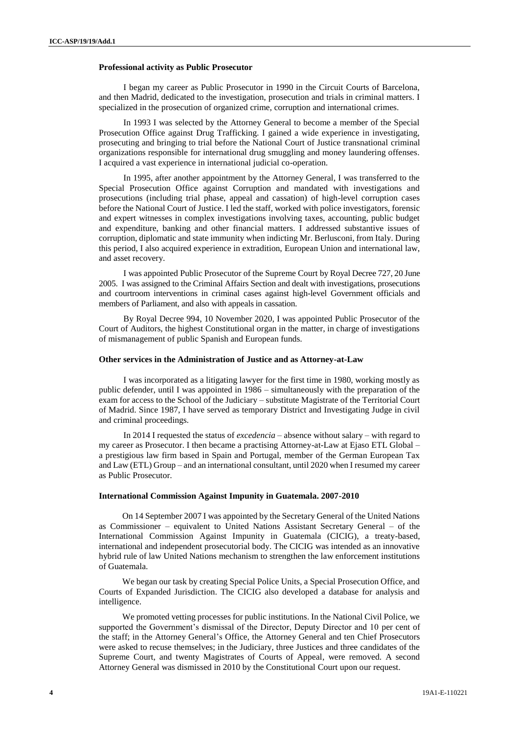#### **Professional activity as Public Prosecutor**

I began my career as Public Prosecutor in 1990 in the Circuit Courts of Barcelona, and then Madrid, dedicated to the investigation, prosecution and trials in criminal matters. I specialized in the prosecution of organized crime, corruption and international crimes.

In 1993 I was selected by the Attorney General to become a member of the Special Prosecution Office against Drug Trafficking. I gained a wide experience in investigating, prosecuting and bringing to trial before the National Court of Justice transnational criminal organizations responsible for international drug smuggling and money laundering offenses. I acquired a vast experience in international judicial co-operation.

In 1995, after another appointment by the Attorney General, I was transferred to the Special Prosecution Office against Corruption and mandated with investigations and prosecutions (including trial phase, appeal and cassation) of high-level corruption cases before the National Court of Justice. I led the staff, worked with police investigators, forensic and expert witnesses in complex investigations involving taxes, accounting, public budget and expenditure, banking and other financial matters. I addressed substantive issues of corruption, diplomatic and state immunity when indicting Mr. Berlusconi, from Italy. During this period, I also acquired experience in extradition, European Union and international law, and asset recovery.

I was appointed Public Prosecutor of the Supreme Court by Royal Decree 727, 20 June 2005. I was assigned to the Criminal Affairs Section and dealt with investigations, prosecutions and courtroom interventions in criminal cases against high-level Government officials and members of Parliament, and also with appeals in cassation.

By Royal Decree 994, 10 November 2020, I was appointed Public Prosecutor of the Court of Auditors, the highest Constitutional organ in the matter, in charge of investigations of mismanagement of public Spanish and European funds.

#### **Other services in the Administration of Justice and as Attorney-at-Law**

I was incorporated as a litigating lawyer for the first time in 1980, working mostly as public defender, until I was appointed in 1986 – simultaneously with the preparation of the exam for access to the School of the Judiciary – substitute Magistrate of the Territorial Court of Madrid. Since 1987, I have served as temporary District and Investigating Judge in civil and criminal proceedings.

In 2014 I requested the status of *excedencia* – absence without salary – with regard to my career as Prosecutor. I then became a practising Attorney-at-Law at Ejaso ETL Global – a prestigious law firm based in Spain and Portugal, member of the German European Tax and Law (ETL) Group – and an international consultant, until 2020 when I resumed my career as Public Prosecutor.

#### **International Commission Against Impunity in Guatemala. 2007-2010**

On 14 September 2007 I was appointed by the Secretary General of the United Nations as Commissioner – equivalent to United Nations Assistant Secretary General – of the International Commission Against Impunity in Guatemala (CICIG), a treaty-based, international and independent prosecutorial body. The CICIG was intended as an innovative hybrid rule of law United Nations mechanism to strengthen the law enforcement institutions of Guatemala.

We began our task by creating Special Police Units, a Special Prosecution Office, and Courts of Expanded Jurisdiction. The CICIG also developed a database for analysis and intelligence.

We promoted vetting processes for public institutions. In the National Civil Police, we supported the Government's dismissal of the Director, Deputy Director and 10 per cent of the staff; in the Attorney General's Office, the Attorney General and ten Chief Prosecutors were asked to recuse themselves; in the Judiciary, three Justices and three candidates of the Supreme Court, and twenty Magistrates of Courts of Appeal, were removed. A second Attorney General was dismissed in 2010 by the Constitutional Court upon our request.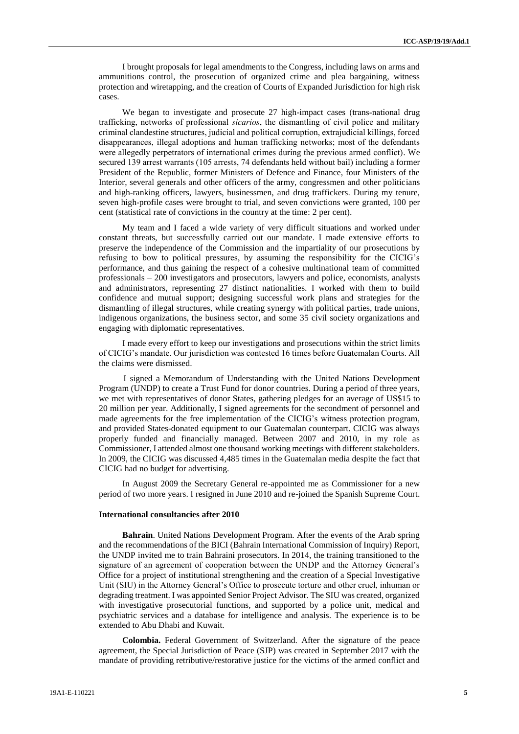I brought proposals for legal amendments to the Congress, including laws on arms and ammunitions control, the prosecution of organized crime and plea bargaining, witness protection and wiretapping, and the creation of Courts of Expanded Jurisdiction for high risk cases.

We began to investigate and prosecute 27 high-impact cases (trans-national drug trafficking, networks of professional *sicarios*, the dismantling of civil police and military criminal clandestine structures, judicial and political corruption, extrajudicial killings, forced disappearances, illegal adoptions and human trafficking networks; most of the defendants were allegedly perpetrators of international crimes during the previous armed conflict). We secured 139 arrest warrants (105 arrests, 74 defendants held without bail) including a former President of the Republic, former Ministers of Defence and Finance, four Ministers of the Interior, several generals and other officers of the army, congressmen and other politicians and high-ranking officers, lawyers, businessmen, and drug traffickers. During my tenure, seven high-profile cases were brought to trial, and seven convictions were granted, 100 per cent (statistical rate of convictions in the country at the time: 2 per cent).

My team and I faced a wide variety of very difficult situations and worked under constant threats, but successfully carried out our mandate. I made extensive efforts to preserve the independence of the Commission and the impartiality of our prosecutions by refusing to bow to political pressures, by assuming the responsibility for the CICIG's performance, and thus gaining the respect of a cohesive multinational team of committed professionals – 200 investigators and prosecutors, lawyers and police, economists, analysts and administrators, representing 27 distinct nationalities. I worked with them to build confidence and mutual support; designing successful work plans and strategies for the dismantling of illegal structures, while creating synergy with political parties, trade unions, indigenous organizations, the business sector, and some 35 civil society organizations and engaging with diplomatic representatives.

I made every effort to keep our investigations and prosecutions within the strict limits of CICIG's mandate. Our jurisdiction was contested 16 times before Guatemalan Courts. All the claims were dismissed.

I signed a Memorandum of Understanding with the United Nations Development Program (UNDP) to create a Trust Fund for donor countries. During a period of three years, we met with representatives of donor States, gathering pledges for an average of US\$15 to 20 million per year. Additionally, I signed agreements for the secondment of personnel and made agreements for the free implementation of the CICIG's witness protection program, and provided States-donated equipment to our Guatemalan counterpart. CICIG was always properly funded and financially managed. Between 2007 and 2010, in my role as Commissioner, I attended almost one thousand working meetings with different stakeholders. In 2009, the CICIG was discussed 4,485 times in the Guatemalan media despite the fact that CICIG had no budget for advertising.

In August 2009 the Secretary General re-appointed me as Commissioner for a new period of two more years. I resigned in June 2010 and re-joined the Spanish Supreme Court.

#### **International consultancies after 2010**

**Bahrain**. United Nations Development Program. After the events of the Arab spring and the recommendations of the BICI (Bahrain International Commission of Inquiry) Report, the UNDP invited me to train Bahraini prosecutors. In 2014, the training transitioned to the signature of an agreement of cooperation between the UNDP and the Attorney General's Office for a project of institutional strengthening and the creation of a Special Investigative Unit (SIU) in the Attorney General's Office to prosecute torture and other cruel, inhuman or degrading treatment. I was appointed Senior Project Advisor. The SIU was created, organized with investigative prosecutorial functions, and supported by a police unit, medical and psychiatric services and a database for intelligence and analysis. The experience is to be extended to Abu Dhabi and Kuwait.

**Colombia.** Federal Government of Switzerland. After the signature of the peace agreement, the Special Jurisdiction of Peace (SJP) was created in September 2017 with the mandate of providing retributive/restorative justice for the victims of the armed conflict and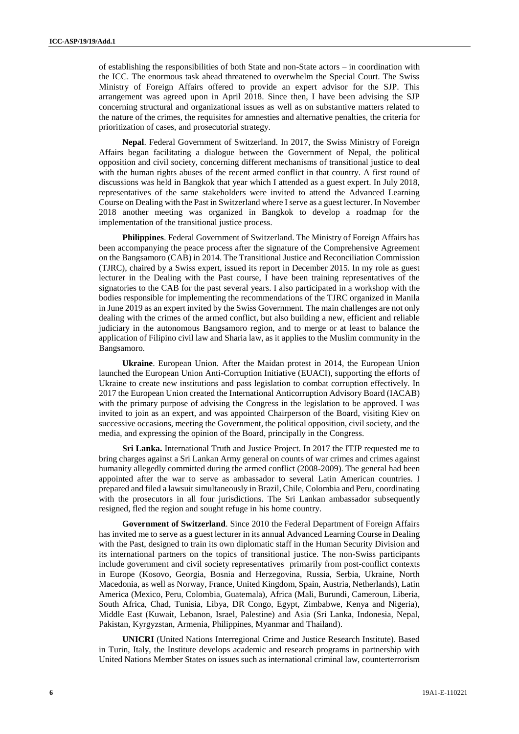of establishing the responsibilities of both State and non-State actors – in coordination with the ICC. The enormous task ahead threatened to overwhelm the Special Court. The Swiss Ministry of Foreign Affairs offered to provide an expert advisor for the SJP. This arrangement was agreed upon in April 2018. Since then, I have been advising the SJP concerning structural and organizational issues as well as on substantive matters related to the nature of the crimes, the requisites for amnesties and alternative penalties, the criteria for prioritization of cases, and prosecutorial strategy.

**Nepal**. Federal Government of Switzerland. In 2017, the Swiss Ministry of Foreign Affairs began facilitating a dialogue between the Government of Nepal, the political opposition and civil society, concerning different mechanisms of transitional justice to deal with the human rights abuses of the recent armed conflict in that country. A first round of discussions was held in Bangkok that year which I attended as a guest expert. In July 2018, representatives of the same stakeholders were invited to attend the Advanced Learning Course on Dealing with the Past in Switzerland where I serve as a guest lecturer. In November 2018 another meeting was organized in Bangkok to develop a roadmap for the implementation of the transitional justice process.

**Philippines**. Federal Government of Switzerland. The Ministry of Foreign Affairs has been accompanying the peace process after the signature of the Comprehensive Agreement on the Bangsamoro (CAB) in 2014. The Transitional Justice and Reconciliation Commission (TJRC), chaired by a Swiss expert, issued its report in December 2015. In my role as guest lecturer in the Dealing with the Past course, I have been training representatives of the signatories to the CAB for the past several years. I also participated in a workshop with the bodies responsible for implementing the recommendations of the TJRC organized in Manila in June 2019 as an expert invited by the Swiss Government. The main challenges are not only dealing with the crimes of the armed conflict, but also building a new, efficient and reliable judiciary in the autonomous Bangsamoro region, and to merge or at least to balance the application of Filipino civil law and Sharia law, as it applies to the Muslim community in the Bangsamoro.

**Ukraine**. European Union. After the Maidan protest in 2014, the European Union launched the European Union Anti-Corruption Initiative (EUACI), supporting the efforts of Ukraine to create new institutions and pass legislation to combat corruption effectively. In 2017 the European Union created the International Anticorruption Advisory Board (IACAB) with the primary purpose of advising the Congress in the legislation to be approved. I was invited to join as an expert, and was appointed Chairperson of the Board, visiting Kiev on successive occasions, meeting the Government, the political opposition, civil society, and the media, and expressing the opinion of the Board, principally in the Congress.

**Sri Lanka.** International Truth and Justice Project. In 2017 the ITJP requested me to bring charges against a Sri Lankan Army general on counts of war crimes and crimes against humanity allegedly committed during the armed conflict (2008-2009). The general had been appointed after the war to serve as ambassador to several Latin American countries. I prepared and filed a lawsuit simultaneously in Brazil, Chile, Colombia and Peru, coordinating with the prosecutors in all four jurisdictions. The Sri Lankan ambassador subsequently resigned, fled the region and sought refuge in his home country.

**Government of Switzerland**. Since 2010 the Federal Department of Foreign Affairs has invited me to serve as a guest lecturer in its annual Advanced Learning Course in Dealing with the Past, designed to train its own diplomatic staff in the Human Security Division and its international partners on the topics of transitional justice. The non-Swiss participants include government and civil society representatives primarily from post-conflict contexts in Europe (Kosovo, Georgia, Bosnia and Herzegovina, Russia, Serbia, Ukraine, North Macedonia, as well as Norway, France, United Kingdom, Spain, Austria, Netherlands), Latin America (Mexico, Peru, Colombia, Guatemala), Africa (Mali, Burundi, Cameroun, Liberia, South Africa, Chad, Tunisia, Libya, DR Congo, Egypt, Zimbabwe, Kenya and Nigeria), Middle East (Kuwait, Lebanon, Israel, Palestine) and Asia (Sri Lanka, Indonesia, Nepal, Pakistan, Kyrgyzstan, Armenia, Philippines, Myanmar and Thailand).

**UNICRI** (United Nations Interregional Crime and Justice Research Institute). Based in Turin, Italy, the Institute develops academic and research programs in partnership with United Nations Member States on issues such as international criminal law, counterterrorism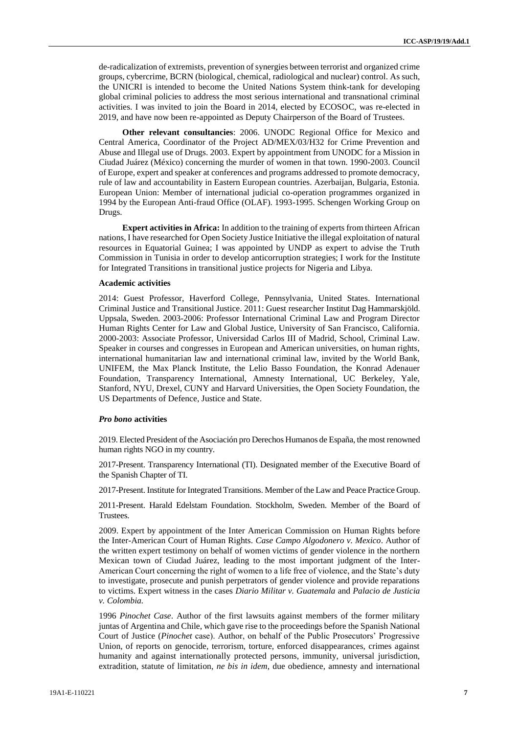de-radicalization of extremists, prevention of synergies between terrorist and organized crime groups, cybercrime, BCRN (biological, chemical, radiological and nuclear) control. As such, the UNICRI is intended to become the United Nations System think-tank for developing global criminal policies to address the most serious international and transnational criminal activities. I was invited to join the Board in 2014, elected by ECOSOC, was re-elected in 2019, and have now been re-appointed as Deputy Chairperson of the Board of Trustees.

**Other relevant consultancies**: 2006. UNODC Regional Office for Mexico and Central America, Coordinator of the Project AD/MEX/03/H32 for Crime Prevention and Abuse and Illegal use of Drugs. 2003. Expert by appointment from UNODC for a Mission in Ciudad Juárez (México) concerning the murder of women in that town. 1990-2003. Council of Europe, expert and speaker at conferences and programs addressed to promote democracy, rule of law and accountability in Eastern European countries. Azerbaijan, Bulgaria, Estonia. European Union: Member of international judicial co-operation programmes organized in 1994 by the European Anti-fraud Office (OLAF). 1993-1995. Schengen Working Group on Drugs.

**Expert activities in Africa:** In addition to the training of experts from thirteen African nations, I have researched for Open Society Justice Initiative the illegal exploitation of natural resources in Equatorial Guinea; I was appointed by UNDP as expert to advise the Truth Commission in Tunisia in order to develop anticorruption strategies; I work for the Institute for Integrated Transitions in transitional justice projects for Nigeria and Libya.

#### **Academic activities**

2014: Guest Professor, Haverford College, Pennsylvania, United States. International Criminal Justice and Transitional Justice. 2011: Guest researcher Institut Dag Hammarskjöld. Uppsala, Sweden. 2003-2006: Professor International Criminal Law and Program Director Human Rights Center for Law and Global Justice, University of San Francisco, California. 2000-2003: Associate Professor, Universidad Carlos III of Madrid, School, Criminal Law. Speaker in courses and congresses in European and American universities, on human rights, international humanitarian law and international criminal law, invited by the World Bank, UNIFEM, the Max Planck Institute, the Lelio Basso Foundation, the Konrad Adenauer Foundation, Transparency International, Amnesty International, UC Berkeley, Yale, Stanford, NYU, Drexel, CUNY and Harvard Universities, the Open Society Foundation, the US Departments of Defence, Justice and State.

#### *Pro bono* **activities**

2019. Elected President of the Asociación pro Derechos Humanos de España, the most renowned human rights NGO in my country.

2017-Present. Transparency International (TI). Designated member of the Executive Board of the Spanish Chapter of TI.

2017-Present. Institute for Integrated Transitions. Member of the Law and Peace Practice Group.

2011-Present. Harald Edelstam Foundation. Stockholm, Sweden. Member of the Board of Trustees.

2009. Expert by appointment of the Inter American Commission on Human Rights before the Inter-American Court of Human Rights. *Case Campo Algodonero v. Mexico*. Author of the written expert testimony on behalf of women victims of gender violence in the northern Mexican town of Ciudad Juárez, leading to the most important judgment of the Inter-American Court concerning the right of women to a life free of violence, and the State's duty to investigate, prosecute and punish perpetrators of gender violence and provide reparations to victims. Expert witness in the cases *Diario Militar v. Guatemala* and *Palacio de Justicia v. Colombia.*

1996 *Pinochet Case*. Author of the first lawsuits against members of the former military juntas of Argentina and Chile, which gave rise to the proceedings before the Spanish National Court of Justice (*Pinochet* case). Author, on behalf of the Public Prosecutors' Progressive Union, of reports on genocide, terrorism, torture, enforced disappearances, crimes against humanity and against internationally protected persons, immunity, universal jurisdiction, extradition, statute of limitation, *ne bis in idem*, due obedience, amnesty and international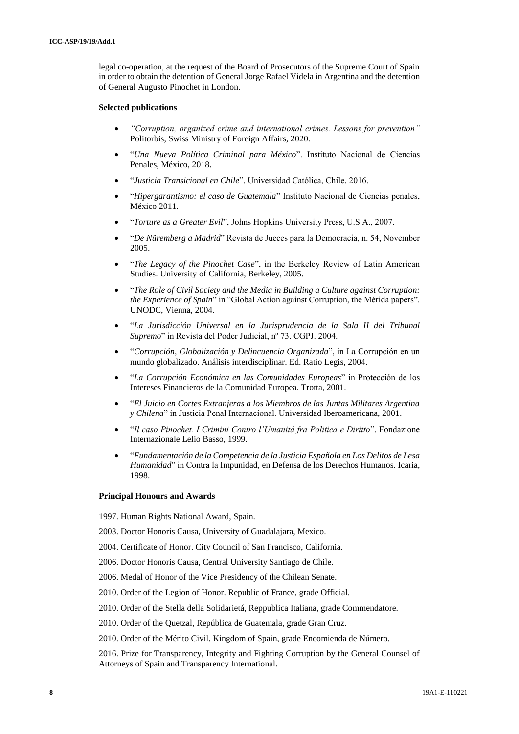legal co-operation, at the request of the Board of Prosecutors of the Supreme Court of Spain in order to obtain the detention of General Jorge Rafael Videla in Argentina and the detention of General Augusto Pinochet in London.

#### **Selected publications**

- *"Corruption, organized crime and international crimes. Lessons for prevention"*  Politorbis, Swiss Ministry of Foreign Affairs, 2020.
- "*Una Nueva Política Criminal para México*". Instituto Nacional de Ciencias Penales, México, 2018.
- "*Justicia Transicional en Chile*". Universidad Católica, Chile, 2016.
- "*Hipergarantismo: el caso de Guatemala*" Instituto Nacional de Ciencias penales, México 2011.
- "*Torture as a Greater Evil*", Johns Hopkins University Press, U.S.A., 2007.
- "*De Nüremberg a Madrid*" Revista de Jueces para la Democracia, n. 54, November 2005.
- "*The Legacy of the Pinochet Case*", in the Berkeley Review of Latin American Studies. University of California, Berkeley, 2005.
- "*The Role of Civil Society and the Media in Building a Culture against Corruption: the Experience of Spain*" in "Global Action against Corruption, the Mérida papers". UNODC, Vienna, 2004.
- "*La Jurisdicción Universal en la Jurisprudencia de la Sala II del Tribunal Supremo*" in Revista del Poder Judicial, nº 73. CGPJ. 2004.
- "*Corrupción, Globalización y Delincuencia Organizada*", in La Corrupción en un mundo globalizado. Análisis interdisciplinar. Ed. Ratio Legis, 2004.
- "*La Corrupción Económica en las Comunidades Europeas*" in Protección de los Intereses Financieros de la Comunidad Europea. Trotta, 2001.
- "*El Juicio en Cortes Extranjeras a los Miembros de las Juntas Militares Argentina y Chilena*" in Justicia Penal Internacional. Universidad Iberoamericana, 2001.
- "*Il caso Pinochet. I Crimini Contro l'Umanitá fra Politica e Diritto*". Fondazione Internazionale Lelio Basso, 1999.
- "*Fundamentación de la Competencia de la Justicia Española en Los Delitos de Lesa Humanidad*" in Contra la Impunidad, en Defensa de los Derechos Humanos. Icaria, 1998.

#### **Principal Honours and Awards**

1997. Human Rights National Award, Spain.

2003. Doctor Honoris Causa, University of Guadalajara, Mexico.

2004. Certificate of Honor. City Council of San Francisco, California.

- 2006. Doctor Honoris Causa, Central University Santiago de Chile.
- 2006. Medal of Honor of the Vice Presidency of the Chilean Senate.
- 2010. Order of the Legion of Honor. Republic of France, grade Official.
- 2010. Order of the Stella della Solidarietá, Reppublica Italiana, grade Commendatore.
- 2010. Order of the Quetzal, República de Guatemala, grade Gran Cruz.

2010. Order of the Mérito Civil. Kingdom of Spain, grade Encomienda de Número.

2016. Prize for Transparency, Integrity and Fighting Corruption by the General Counsel of Attorneys of Spain and Transparency International.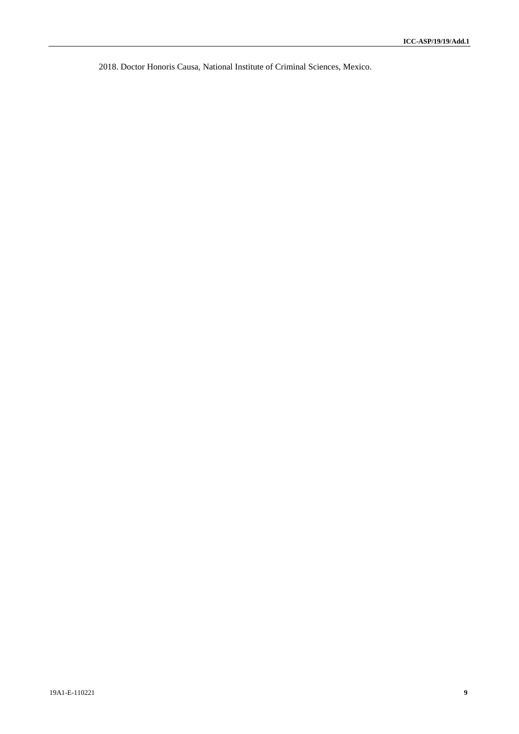2018. Doctor Honoris Causa, National Institute of Criminal Sciences, Mexico.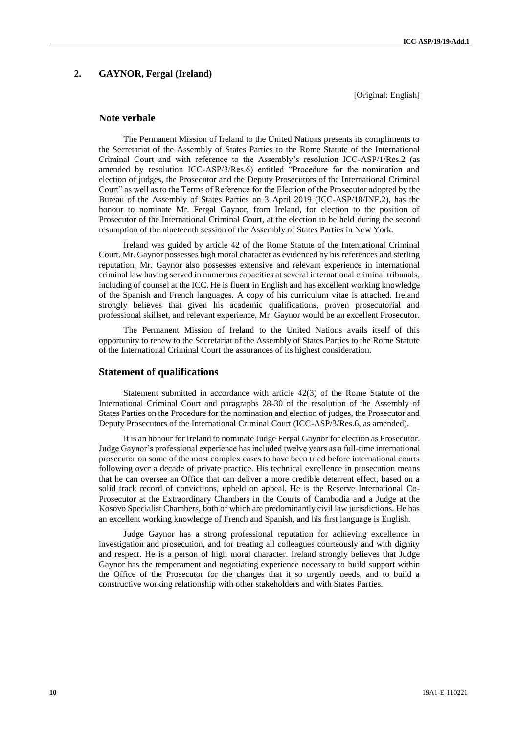# **2. GAYNOR, Fergal (Ireland)**

[Original: English]

# **Note verbale**

The Permanent Mission of Ireland to the United Nations presents its compliments to the Secretariat of the Assembly of States Parties to the Rome Statute of the International Criminal Court and with reference to the Assembly's resolution ICC-ASP/1/Res.2 (as amended by resolution ICC-ASP/3/Res.6) entitled "Procedure for the nomination and election of judges, the Prosecutor and the Deputy Prosecutors of the International Criminal Court" as well as to the Terms of Reference for the Election of the Prosecutor adopted by the Bureau of the Assembly of States Parties on 3 April 2019 (ICC-ASP/18/INF.2), has the honour to nominate Mr. Fergal Gaynor, from Ireland, for election to the position of Prosecutor of the International Criminal Court, at the election to be held during the second resumption of the nineteenth session of the Assembly of States Parties in New York.

Ireland was guided by article 42 of the Rome Statute of the International Criminal Court. Mr. Gaynor possesses high moral character as evidenced by his references and sterling reputation. Mr. Gaynor also possesses extensive and relevant experience in international criminal law having served in numerous capacities at several international criminal tribunals, including of counsel at the ICC. He is fluent in English and has excellent working knowledge of the Spanish and French languages. A copy of his curriculum vitae is attached. Ireland strongly believes that given his academic qualifications, proven prosecutorial and professional skillset, and relevant experience, Mr. Gaynor would be an excellent Prosecutor.

The Permanent Mission of Ireland to the United Nations avails itself of this opportunity to renew to the Secretariat of the Assembly of States Parties to the Rome Statute of the International Criminal Court the assurances of its highest consideration.

### **Statement of qualifications**

Statement submitted in accordance with article 42(3) of the Rome Statute of the International Criminal Court and paragraphs 28-30 of the resolution of the Assembly of States Parties on the Procedure for the nomination and election of judges, the Prosecutor and Deputy Prosecutors of the International Criminal Court (ICC-ASP/3/Res.6, as amended).

It is an honour for Ireland to nominate Judge Fergal Gaynor for election as Prosecutor. Judge Gaynor's professional experience has included twelve years as a full-time international prosecutor on some of the most complex cases to have been tried before international courts following over a decade of private practice. His technical excellence in prosecution means that he can oversee an Office that can deliver a more credible deterrent effect, based on a solid track record of convictions, upheld on appeal. He is the Reserve International Co-Prosecutor at the Extraordinary Chambers in the Courts of Cambodia and a Judge at the Kosovo Specialist Chambers, both of which are predominantly civil law jurisdictions. He has an excellent working knowledge of French and Spanish, and his first language is English.

Judge Gaynor has a strong professional reputation for achieving excellence in investigation and prosecution, and for treating all colleagues courteously and with dignity and respect. He is a person of high moral character. Ireland strongly believes that Judge Gaynor has the temperament and negotiating experience necessary to build support within the Office of the Prosecutor for the changes that it so urgently needs, and to build a constructive working relationship with other stakeholders and with States Parties.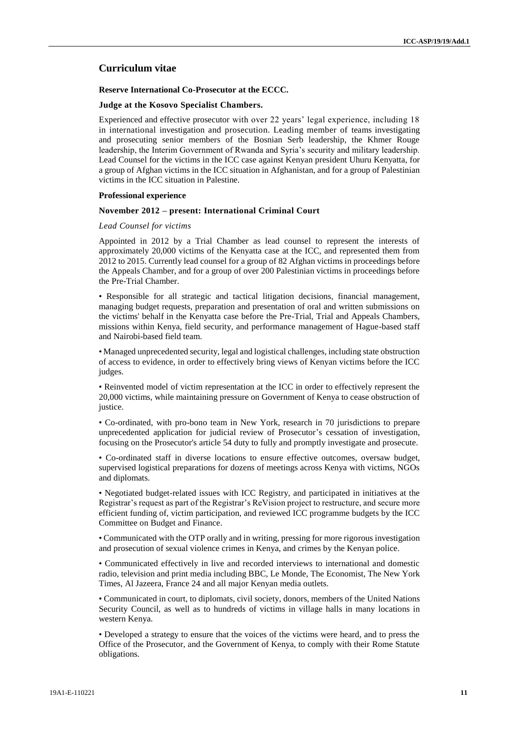# **Curriculum vitae**

### **Reserve International Co-Prosecutor at the ECCC.**

#### **Judge at the Kosovo Specialist Chambers.**

Experienced and effective prosecutor with over 22 years' legal experience, including 18 in international investigation and prosecution. Leading member of teams investigating and prosecuting senior members of the Bosnian Serb leadership, the Khmer Rouge leadership, the Interim Government of Rwanda and Syria's security and military leadership. Lead Counsel for the victims in the ICC case against Kenyan president Uhuru Kenyatta, for a group of Afghan victims in the ICC situation in Afghanistan, and for a group of Palestinian victims in the ICC situation in Palestine.

#### **Professional experience**

#### **November 2012 – present: International Criminal Court**

### *Lead Counsel for victims*

Appointed in 2012 by a Trial Chamber as lead counsel to represent the interests of approximately 20,000 victims of the Kenyatta case at the ICC, and represented them from 2012 to 2015. Currently lead counsel for a group of 82 Afghan victims in proceedings before the Appeals Chamber, and for a group of over 200 Palestinian victims in proceedings before the Pre-Trial Chamber.

• Responsible for all strategic and tactical litigation decisions, financial management, managing budget requests, preparation and presentation of oral and written submissions on the victims' behalf in the Kenyatta case before the Pre-Trial, Trial and Appeals Chambers, missions within Kenya, field security, and performance management of Hague-based staff and Nairobi-based field team.

• Managed unprecedented security, legal and logistical challenges, including state obstruction of access to evidence, in order to effectively bring views of Kenyan victims before the ICC judges.

• Reinvented model of victim representation at the ICC in order to effectively represent the 20,000 victims, while maintaining pressure on Government of Kenya to cease obstruction of justice.

• Co-ordinated, with pro-bono team in New York, research in 70 jurisdictions to prepare unprecedented application for judicial review of Prosecutor's cessation of investigation, focusing on the Prosecutor's article 54 duty to fully and promptly investigate and prosecute.

• Co-ordinated staff in diverse locations to ensure effective outcomes, oversaw budget, supervised logistical preparations for dozens of meetings across Kenya with victims, NGOs and diplomats.

• Negotiated budget-related issues with ICC Registry, and participated in initiatives at the Registrar's request as part of the Registrar's ReVision project to restructure, and secure more efficient funding of, victim participation, and reviewed ICC programme budgets by the ICC Committee on Budget and Finance.

• Communicated with the OTP orally and in writing, pressing for more rigorous investigation and prosecution of sexual violence crimes in Kenya, and crimes by the Kenyan police.

• Communicated effectively in live and recorded interviews to international and domestic radio, television and print media including BBC, Le Monde, The Economist, The New York Times, Al Jazeera, France 24 and all major Kenyan media outlets.

• Communicated in court, to diplomats, civil society, donors, members of the United Nations Security Council, as well as to hundreds of victims in village halls in many locations in western Kenya.

• Developed a strategy to ensure that the voices of the victims were heard, and to press the Office of the Prosecutor, and the Government of Kenya, to comply with their Rome Statute obligations.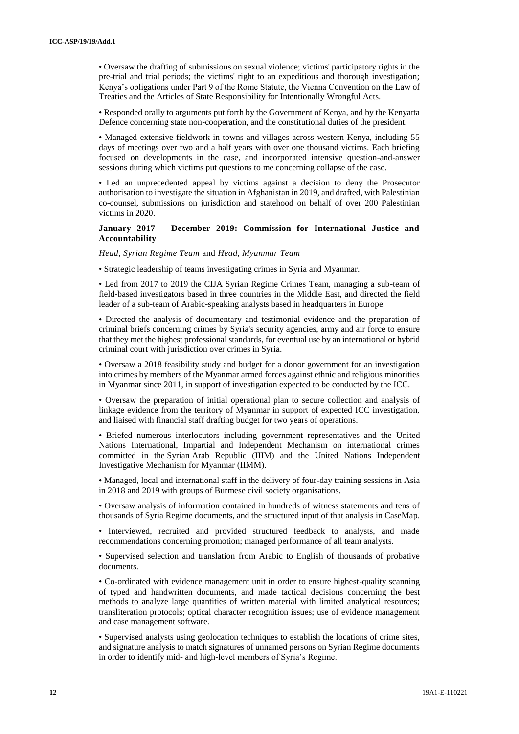• Oversaw the drafting of submissions on sexual violence; victims' participatory rights in the pre-trial and trial periods; the victims' right to an expeditious and thorough investigation; Kenya's obligations under Part 9 of the Rome Statute, the Vienna Convention on the Law of Treaties and the Articles of State Responsibility for Intentionally Wrongful Acts.

• Responded orally to arguments put forth by the Government of Kenya, and by the Kenyatta Defence concerning state non-cooperation, and the constitutional duties of the president.

• Managed extensive fieldwork in towns and villages across western Kenya, including 55 days of meetings over two and a half years with over one thousand victims. Each briefing focused on developments in the case, and incorporated intensive question-and-answer sessions during which victims put questions to me concerning collapse of the case.

• Led an unprecedented appeal by victims against a decision to deny the Prosecutor authorisation to investigate the situation in Afghanistan in 2019, and drafted, with Palestinian co-counsel, submissions on jurisdiction and statehood on behalf of over 200 Palestinian victims in 2020.

# **January 2017 – December 2019: Commission for International Justice and Accountability**

*Head, Syrian Regime Team* and *Head, Myanmar Team*

• Strategic leadership of teams investigating crimes in Syria and Myanmar.

• Led from 2017 to 2019 the CIJA Syrian Regime Crimes Team, managing a sub-team of field-based investigators based in three countries in the Middle East, and directed the field leader of a sub-team of Arabic-speaking analysts based in headquarters in Europe.

• Directed the analysis of documentary and testimonial evidence and the preparation of criminal briefs concerning crimes by Syria's security agencies, army and air force to ensure that they met the highest professional standards, for eventual use by an international or hybrid criminal court with jurisdiction over crimes in Syria.

• Oversaw a 2018 feasibility study and budget for a donor government for an investigation into crimes by members of the Myanmar armed forces against ethnic and religious minorities in Myanmar since 2011, in support of investigation expected to be conducted by the ICC.

• Oversaw the preparation of initial operational plan to secure collection and analysis of linkage evidence from the territory of Myanmar in support of expected ICC investigation, and liaised with financial staff drafting budget for two years of operations.

• Briefed numerous interlocutors including government representatives and the United Nations International, Impartial and Independent Mechanism on international crimes committed in the Syrian Arab Republic (IIIM) and the United Nations Independent Investigative Mechanism for Myanmar (IIMM).

• Managed, local and international staff in the delivery of four-day training sessions in Asia in 2018 and 2019 with groups of Burmese civil society organisations.

• Oversaw analysis of information contained in hundreds of witness statements and tens of thousands of Syria Regime documents, and the structured input of that analysis in CaseMap.

• Interviewed, recruited and provided structured feedback to analysts, and made recommendations concerning promotion; managed performance of all team analysts.

• Supervised selection and translation from Arabic to English of thousands of probative documents.

• Co-ordinated with evidence management unit in order to ensure highest-quality scanning of typed and handwritten documents, and made tactical decisions concerning the best methods to analyze large quantities of written material with limited analytical resources; transliteration protocols; optical character recognition issues; use of evidence management and case management software.

• Supervised analysts using geolocation techniques to establish the locations of crime sites, and signature analysis to match signatures of unnamed persons on Syrian Regime documents in order to identify mid- and high-level members of Syria's Regime.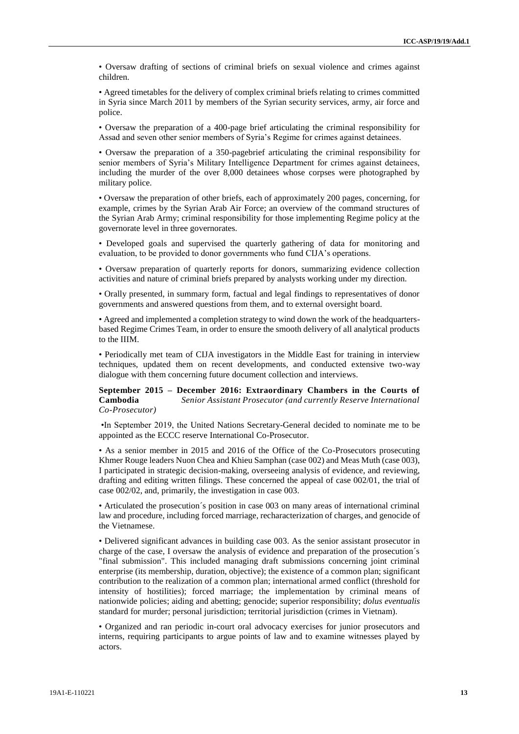• Oversaw drafting of sections of criminal briefs on sexual violence and crimes against children.

• Agreed timetables for the delivery of complex criminal briefs relating to crimes committed in Syria since March 2011 by members of the Syrian security services, army, air force and police.

• Oversaw the preparation of a 400-page brief articulating the criminal responsibility for Assad and seven other senior members of Syria's Regime for crimes against detainees.

• Oversaw the preparation of a 350-pagebrief articulating the criminal responsibility for senior members of Syria's Military Intelligence Department for crimes against detainees, including the murder of the over 8,000 detainees whose corpses were photographed by military police.

• Oversaw the preparation of other briefs, each of approximately 200 pages, concerning, for example, crimes by the Syrian Arab Air Force; an overview of the command structures of the Syrian Arab Army; criminal responsibility for those implementing Regime policy at the governorate level in three governorates.

• Developed goals and supervised the quarterly gathering of data for monitoring and evaluation, to be provided to donor governments who fund CIJA's operations.

• Oversaw preparation of quarterly reports for donors, summarizing evidence collection activities and nature of criminal briefs prepared by analysts working under my direction.

• Orally presented, in summary form, factual and legal findings to representatives of donor governments and answered questions from them, and to external oversight board.

• Agreed and implemented a completion strategy to wind down the work of the headquartersbased Regime Crimes Team, in order to ensure the smooth delivery of all analytical products to the IIIM.

• Periodically met team of CIJA investigators in the Middle East for training in interview techniques, updated them on recent developments, and conducted extensive two-way dialogue with them concerning future document collection and interviews.

**September 2015 – December 2016: Extraordinary Chambers in the Courts of Cambodia** *Senior Assistant Prosecutor (and currently Reserve International Co-Prosecutor)*

•In September 2019, the United Nations Secretary-General decided to nominate me to be appointed as the ECCC reserve International Co-Prosecutor.

• As a senior member in 2015 and 2016 of the Office of the Co-Prosecutors prosecuting Khmer Rouge leaders Nuon Chea and Khieu Samphan (case 002) and Meas Muth (case 003), I participated in strategic decision-making, overseeing analysis of evidence, and reviewing, drafting and editing written filings. These concerned the appeal of case 002/01, the trial of case 002/02, and, primarily, the investigation in case 003.

• Articulated the prosecution´s position in case 003 on many areas of international criminal law and procedure, including forced marriage, recharacterization of charges, and genocide of the Vietnamese.

• Delivered significant advances in building case 003. As the senior assistant prosecutor in charge of the case, I oversaw the analysis of evidence and preparation of the prosecution´s "final submission". This included managing draft submissions concerning joint criminal enterprise (its membership, duration, objective); the existence of a common plan; significant contribution to the realization of a common plan; international armed conflict (threshold for intensity of hostilities); forced marriage; the implementation by criminal means of nationwide policies; aiding and abetting; genocide; superior responsibility; *dolus eventualis* standard for murder; personal jurisdiction; territorial jurisdiction (crimes in Vietnam).

• Organized and ran periodic in-court oral advocacy exercises for junior prosecutors and interns, requiring participants to argue points of law and to examine witnesses played by actors.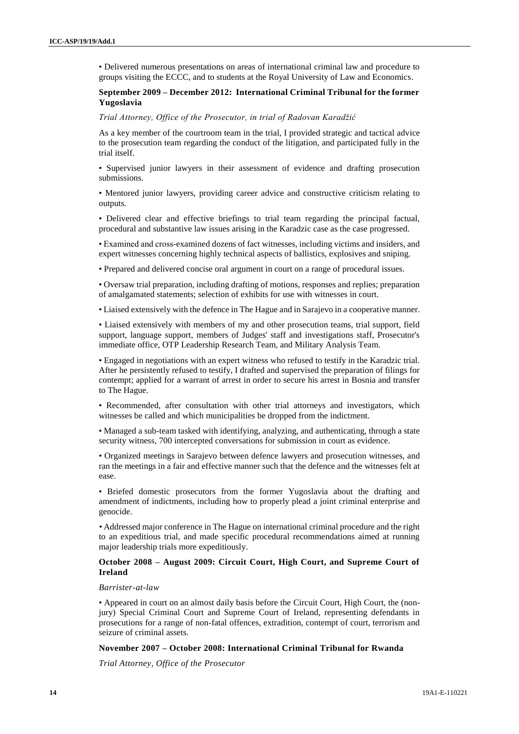• Delivered numerous presentations on areas of international criminal law and procedure to groups visiting the ECCC, and to students at the Royal University of Law and Economics.

# **September 2009 – December 2012: International Criminal Tribunal for the former Yugoslavia**

#### *Trial Attorney, Office of the Prosecutor, in trial of Radovan Karadžić*

As a key member of the courtroom team in the trial, I provided strategic and tactical advice to the prosecution team regarding the conduct of the litigation, and participated fully in the trial itself.

• Supervised junior lawyers in their assessment of evidence and drafting prosecution submissions.

• Mentored junior lawyers, providing career advice and constructive criticism relating to outputs.

• Delivered clear and effective briefings to trial team regarding the principal factual, procedural and substantive law issues arising in the Karadzic case as the case progressed.

• Examined and cross-examined dozens of fact witnesses, including victims and insiders, and expert witnesses concerning highly technical aspects of ballistics, explosives and sniping.

• Prepared and delivered concise oral argument in court on a range of procedural issues.

• Oversaw trial preparation, including drafting of motions, responses and replies; preparation of amalgamated statements; selection of exhibits for use with witnesses in court.

• Liaised extensively with the defence in The Hague and in Sarajevo in a cooperative manner.

• Liaised extensively with members of my and other prosecution teams, trial support, field support, language support, members of Judges' staff and investigations staff, Prosecutor's immediate office, OTP Leadership Research Team, and Military Analysis Team.

• Engaged in negotiations with an expert witness who refused to testify in the Karadzic trial. After he persistently refused to testify, I drafted and supervised the preparation of filings for contempt; applied for a warrant of arrest in order to secure his arrest in Bosnia and transfer to The Hague.

• Recommended, after consultation with other trial attorneys and investigators, which witnesses be called and which municipalities be dropped from the indictment.

• Managed a sub-team tasked with identifying, analyzing, and authenticating, through a state security witness, 700 intercepted conversations for submission in court as evidence.

• Organized meetings in Sarajevo between defence lawyers and prosecution witnesses, and ran the meetings in a fair and effective manner such that the defence and the witnesses felt at ease.

• Briefed domestic prosecutors from the former Yugoslavia about the drafting and amendment of indictments, including how to properly plead a joint criminal enterprise and genocide.

*•* Addressed major conference in The Hague on international criminal procedure and the right to an expeditious trial, and made specific procedural recommendations aimed at running major leadership trials more expeditiously.

# **October 2008 – August 2009: Circuit Court, High Court, and Supreme Court of Ireland**

#### *Barrister-at-law*

• Appeared in court on an almost daily basis before the Circuit Court, High Court, the (nonjury) Special Criminal Court and Supreme Court of Ireland, representing defendants in prosecutions for a range of non-fatal offences, extradition, contempt of court, terrorism and seizure of criminal assets.

#### **November 2007 – October 2008: International Criminal Tribunal for Rwanda**

*Trial Attorney, Office of the Prosecutor*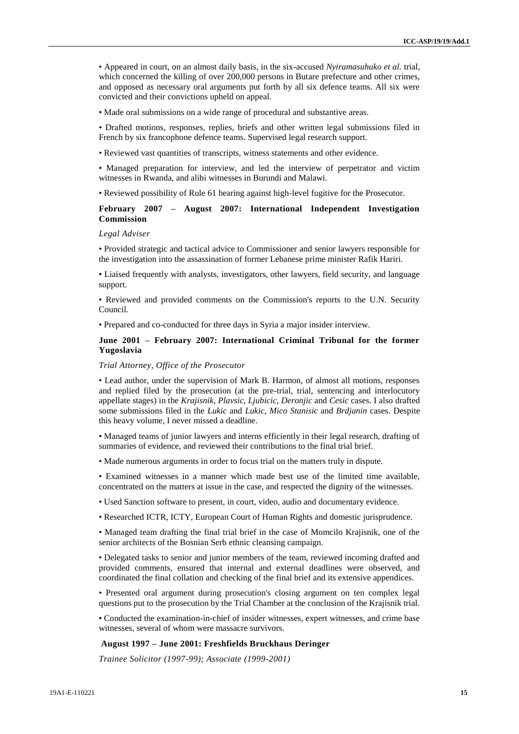• Appeared in court, on an almost daily basis, in the six-accused *Nyiramasuhuko et al.* trial, which concerned the killing of over 200,000 persons in Butare prefecture and other crimes, and opposed as necessary oral arguments put forth by all six defence teams. All six were convicted and their convictions upheld on appeal.

• Made oral submissions on a wide range of procedural and substantive areas.

• Drafted motions, responses, replies, briefs and other written legal submissions filed in French by six francophone defence teams. Supervised legal research support.

• Reviewed vast quantities of transcripts, witness statements and other evidence.

• Managed preparation for interview, and led the interview of perpetrator and victim witnesses in Rwanda, and alibi witnesses in Burundi and Malawi.

• Reviewed possibility of Rule 61 hearing against high-level fugitive for the Prosecutor.

# **February 2007 – August 2007: International Independent Investigation Commission**

#### *Legal Adviser*

• Provided strategic and tactical advice to Commissioner and senior lawyers responsible for the investigation into the assassination of former Lebanese prime minister Rafik Hariri.

• Liaised frequently with analysts, investigators, other lawyers, field security, and language support.

• Reviewed and provided comments on the Commission's reports to the U.N. Security Council.

• Prepared and co-conducted for three days in Syria a major insider interview.

# **June 2001 – February 2007: International Criminal Tribunal for the former Yugoslavia**

#### *Trial Attorney, Office of the Prosecutor*

• Lead author, under the supervision of Mark B. Harmon, of almost all motions, responses and replied filed by the prosecution (at the pre-trial, trial, sentencing and interlocutory appellate stages) in the *Krajisnik*, *Plavsic*, *Ljubicic*, *Deronjic* and *Cesic* cases. I also drafted some submissions filed in the *Lukic* and *Lukic*, *Mico Stanisic* and *Brdjanin* cases. Despite this heavy volume, I never missed a deadline.

• Managed teams of junior lawyers and interns efficiently in their legal research, drafting of summaries of evidence, and reviewed their contributions to the final trial brief.

• Made numerous arguments in order to focus trial on the matters truly in dispute.

• Examined witnesses in a manner which made best use of the limited time available, concentrated on the matters at issue in the case, and respected the dignity of the witnesses.

• Used Sanction software to present, in court, video, audio and documentary evidence.

• Researched ICTR, ICTY, European Court of Human Rights and domestic jurisprudence.

• Managed team drafting the final trial brief in the case of Momcilo Krajisnik, one of the senior architects of the Bosnian Serb ethnic cleansing campaign.

• Delegated tasks to senior and junior members of the team, reviewed incoming drafted and provided comments, ensured that internal and external deadlines were observed, and coordinated the final collation and checking of the final brief and its extensive appendices.

• Presented oral argument during prosecution's closing argument on ten complex legal questions put to the prosecution by the Trial Chamber at the conclusion of the Krajisnik trial.

• Conducted the examination-in-chief of insider witnesses, expert witnesses, and crime base witnesses, several of whom were massacre survivors.

### **August 1997 – June 2001: Freshfields Bruckhaus Deringer**

*Trainee Solicitor (1997-99); Associate (1999-2001)*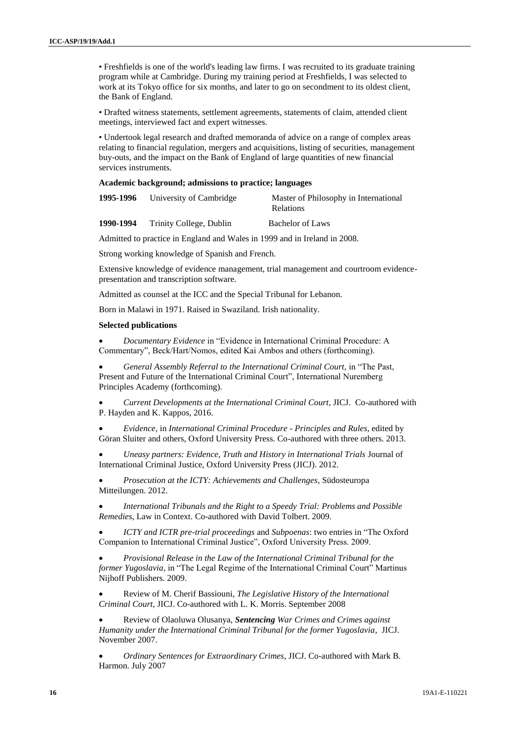• Freshfields is one of the world's leading law firms. I was recruited to its graduate training program while at Cambridge. During my training period at Freshfields, I was selected to work at its Tokyo office for six months, and later to go on secondment to its oldest client, the Bank of England.

• Drafted witness statements, settlement agreements, statements of claim, attended client meetings, interviewed fact and expert witnesses.

• Undertook legal research and drafted memoranda of advice on a range of complex areas relating to financial regulation, mergers and acquisitions, listing of securities, management buy-outs, and the impact on the Bank of England of large quantities of new financial services instruments.

### **Academic background; admissions to practice; languages**

|           | 1995-1996 University of Cambridge | Master of Philosophy in International<br><b>Relations</b> |
|-----------|-----------------------------------|-----------------------------------------------------------|
| 1990-1994 | Trinity College, Dublin           | <b>Bachelor of Laws</b>                                   |

Admitted to practice in England and Wales in 1999 and in Ireland in 2008.

Strong working knowledge of Spanish and French.

Extensive knowledge of evidence management, trial management and courtroom evidencepresentation and transcription software.

Admitted as counsel at the ICC and the Special Tribunal for Lebanon.

Born in Malawi in 1971. Raised in Swaziland. Irish nationality.

#### **Selected publications**

 *Documentary Evidence* in "Evidence in International Criminal Procedure: A Commentary", Beck/Hart/Nomos, edited Kai Ambos and others (forthcoming).

 *General Assembly Referral to the International Criminal Court,* in "The Past, Present and Future of the International Criminal Court", International Nuremberg Principles Academy (forthcoming).

 *Current Developments at the International Criminal Court*, JICJ. Co-authored with P. Hayden and K. Kappos, 2016.

 *Evidence*, in *International Criminal Procedure - Principles and Rules*, edited by Göran Sluiter and others, Oxford University Press. Co-authored with three others. 2013.

 *Uneasy partners: Evidence, Truth and History in International Trials* Journal of International Criminal Justice, Oxford University Press (JICJ). 2012.

 *Prosecution at the ICTY: Achievements and Challenges*, Südosteuropa Mitteilungen. 2012.

 *[International Tribunals and the Right to a Speedy Trial: Problems and Possible](http://connection.ebscohost.com/c/articles/53500534/international-tribunals-right-speedy-trial-problems-possible-remedies)  [Remedies](http://connection.ebscohost.com/c/articles/53500534/international-tribunals-right-speedy-trial-problems-possible-remedies)*, Law in Context. Co-authored with David Tolbert. 2009.

 *ICTY and ICTR pre-trial proceedings* and *Subpoenas*: two entries in "The Oxford Companion to International Criminal Justice", Oxford University Press. 2009.

 *Provisional Release in the Law of the International Criminal Tribunal for the former Yugoslavia*, in "The Legal Regime of the International Criminal Court" Martinus Nijhoff Publishers. 2009.

 Review of M. Cherif Bassiouni, *The Legislative History of the International Criminal Court*, JICJ. Co-authored with L. K. Morris. September 2008

 Review of Olaoluwa Olusanya, *Sentencing War Crimes and Crimes against Humanity under the International Criminal Tribunal for the former Yugoslavia*, JICJ. November 2007.

 *Ordinary Sentences for Extraordinary Crimes*, JICJ. Co-authored with Mark B. Harmon. July 2007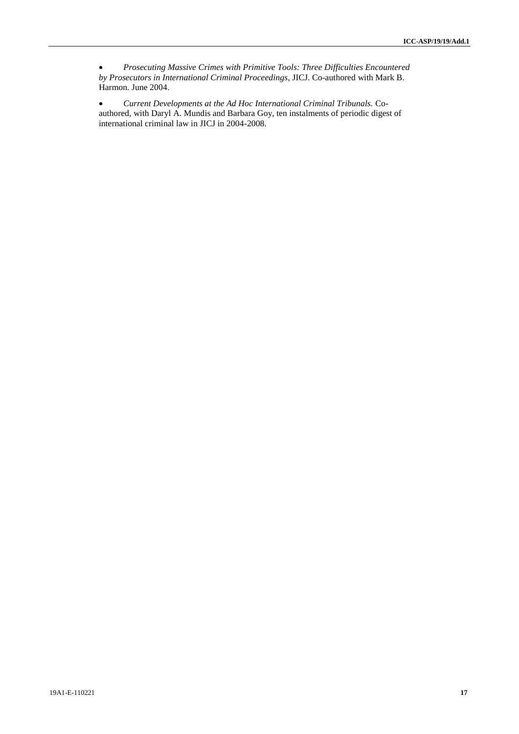*Prosecuting Massive Crimes with Primitive Tools: Three Difficulties Encountered by Prosecutors in International Criminal Proceedings*, JICJ. Co-authored with Mark B. Harmon. June 2004.

 *Current Developments at the Ad Hoc International Criminal Tribunals.* Coauthored, with Daryl A. Mundis and Barbara Goy, ten instalments of periodic digest of international criminal law in JICJ in 2004-2008.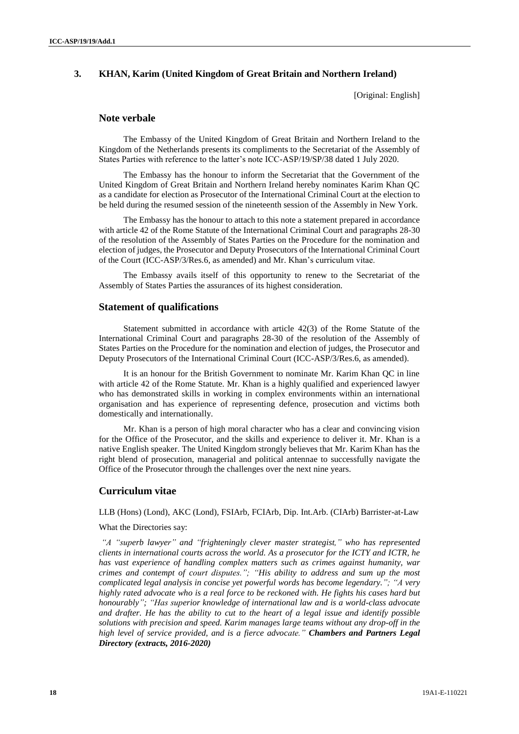# **3. KHAN, Karim (United Kingdom of Great Britain and Northern Ireland)**

[Original: English]

### **Note verbale**

The Embassy of the United Kingdom of Great Britain and Northern Ireland to the Kingdom of the Netherlands presents its compliments to the Secretariat of the Assembly of States Parties with reference to the latter's note ICC-ASP/19/SP/38 dated 1 July 2020.

The Embassy has the honour to inform the Secretariat that the Government of the United Kingdom of Great Britain and Northern Ireland hereby nominates Karim Khan QC as a candidate for election as Prosecutor of the International Criminal Court at the election to be held during the resumed session of the nineteenth session of the Assembly in New York.

The Embassy has the honour to attach to this note a statement prepared in accordance with article 42 of the Rome Statute of the International Criminal Court and paragraphs 28-30 of the resolution of the Assembly of States Parties on the Procedure for the nomination and election of judges, the Prosecutor and Deputy Prosecutors of the International Criminal Court of the Court (ICC-ASP/3/Res.6, as amended) and Mr. Khan's curriculum vitae.

The Embassy avails itself of this opportunity to renew to the Secretariat of the Assembly of States Parties the assurances of its highest consideration.

# **Statement of qualifications**

Statement submitted in accordance with article 42(3) of the Rome Statute of the International Criminal Court and paragraphs 28-30 of the resolution of the Assembly of States Parties on the Procedure for the nomination and election of judges, the Prosecutor and Deputy Prosecutors of the International Criminal Court (ICC-ASP/3/Res.6, as amended).

It is an honour for the British Government to nominate Mr. Karim Khan QC in line with article 42 of the Rome Statute. Mr. Khan is a highly qualified and experienced lawyer who has demonstrated skills in working in complex environments within an international organisation and has experience of representing defence, prosecution and victims both domestically and internationally.

Mr. Khan is a person of high moral character who has a clear and convincing vision for the Office of the Prosecutor, and the skills and experience to deliver it. Mr. Khan is a native English speaker. The United Kingdom strongly believes that Mr. Karim Khan has the right blend of prosecution, managerial and political antennae to successfully navigate the Office of the Prosecutor through the challenges over the next nine years.

# **Curriculum vitae**

LLB (Hons) (Lond), AKC (Lond), FSIArb, FCIArb, Dip. Int.Arb. (CIArb) Barrister-at-Law

### What the Directories say:

*"A "superb lawyer" and "frighteningly clever master strategist," who has represented clients in international courts across the world. As a prosecutor for the ICTY and ICTR, he has vast experience of handling complex matters such as crimes against humanity, war crimes and contempt of court disputes."; "His ability to address and sum up the most complicated legal analysis in concise yet powerful words has become legendary."; "A very highly rated advocate who is a real force to be reckoned with. He fights his cases hard but honourably"; "Has superior knowledge of international law and is a world-class advocate and drafter. He has the ability to cut to the heart of a legal issue and identify possible solutions with precision and speed. Karim manages large teams without any drop-off in the high level of service provided, and is a fierce advocate." Chambers and Partners Legal Directory (extracts, 2016-2020)*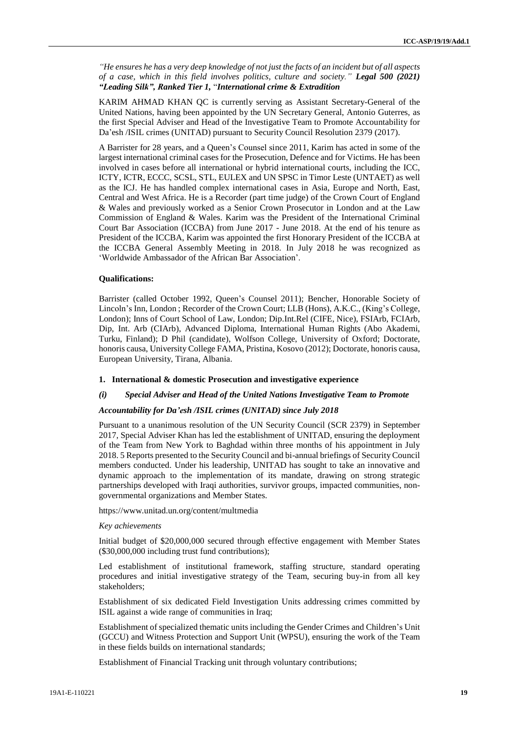*"He ensures he has a very deep knowledge of not just the facts of an incident but of all aspects of a case, which in this field involves politics, culture and society." Legal 500 (2021) "Leading Silk", Ranked Tier 1,* "*International crime & Extradition*

KARIM AHMAD KHAN QC is currently serving as Assistant Secretary-General of the United Nations, having been appointed by the UN Secretary General, Antonio Guterres, as the first Special Adviser and Head of the Investigative Team to Promote Accountability for Da'esh /ISIL crimes (UNITAD) pursuant to Security Council Resolution 2379 (2017).

A Barrister for 28 years, and a Queen's Counsel since 2011, Karim has acted in some of the largest international criminal cases for the Prosecution, Defence and for Victims. He has been involved in cases before all international or hybrid international courts, including the ICC, ICTY, ICTR, ECCC, SCSL, STL, EULEX and UN SPSC in Timor Leste (UNTAET) as well as the ICJ. He has handled complex international cases in Asia, Europe and North, East, Central and West Africa. He is a Recorder (part time judge) of the Crown Court of England & Wales and previously worked as a Senior Crown Prosecutor in London and at the Law Commission of England & Wales. Karim was the President of the International Criminal Court Bar Association (ICCBA) from June 2017 - June 2018. At the end of his tenure as President of the ICCBA, Karim was appointed the first Honorary President of the ICCBA at the ICCBA General Assembly Meeting in 2018. In July 2018 he was recognized as 'Worldwide Ambassador of the African Bar Association'.

#### **Qualifications:**

Barrister (called October 1992, Queen's Counsel 2011); Bencher, Honorable Society of Lincoln's Inn, London ; Recorder of the Crown Court; LLB (Hons), A.K.C., (King's College, London); Inns of Court School of Law, London; Dip.Int.Rel (CIFE, Nice), FSIArb, FCIArb, Dip, Int. Arb (CIArb), Advanced Diploma, International Human Rights (Abo Akademi, Turku, Finland); D Phil (candidate), Wolfson College, University of Oxford; Doctorate, honoris causa, University College FAMA, Pristina, Kosovo (2012); Doctorate, honoris causa, European University, Tirana, Albania.

# **1. International & domestic Prosecution and investigative experience**

## *(i) Special Adviser and Head of the United Nations Investigative Team to Promote*

#### *Accountability for Da'esh /ISIL crimes (UNITAD) since July 2018*

Pursuant to a unanimous resolution of the UN Security Council (SCR 2379) in September 2017, Special Adviser Khan has led the establishment of UNITAD, ensuring the deployment of the Team from New York to Baghdad within three months of his appointment in July 2018. 5 Reports presented to the Security Council and bi-annual briefings of SecurityCouncil members conducted. Under his leadership, UNITAD has sought to take an innovative and dynamic approach to the implementation of its mandate, drawing on strong strategic partnerships developed with Iraqi authorities, survivor groups, impacted communities, nongovernmental organizations and Member States.

https:[//www.unitad.un.org/content/multmedia](http://www.unitad.un.org/content/multmedia)

#### *Key achievements*

Initial budget of \$20,000,000 secured through effective engagement with Member States (\$30,000,000 including trust fund contributions);

Led establishment of institutional framework, staffing structure, standard operating procedures and initial investigative strategy of the Team, securing buy-in from all key stakeholders;

Establishment of six dedicated Field Investigation Units addressing crimes committed by ISIL against a wide range of communities in Iraq;

Establishment of specialized thematic units including the Gender Crimes and Children's Unit (GCCU) and Witness Protection and Support Unit (WPSU), ensuring the work of the Team in these fields builds on international standards;

Establishment of Financial Tracking unit through voluntary contributions;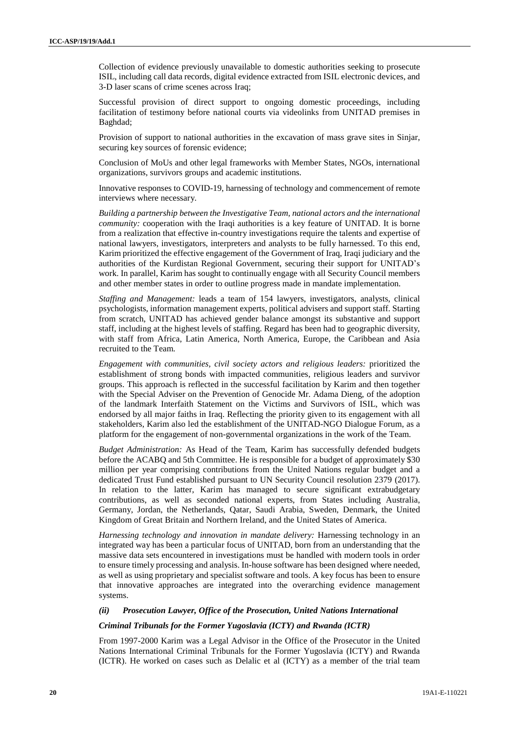Collection of evidence previously unavailable to domestic authorities seeking to prosecute ISIL, including call data records, digital evidence extracted from ISIL electronic devices, and 3-D laser scans of crime scenes across Iraq;

Successful provision of direct support to ongoing domestic proceedings, including facilitation of testimony before national courts via videolinks from UNITAD premises in Baghdad;

Provision of support to national authorities in the excavation of mass grave sites in Sinjar, securing key sources of forensic evidence;

Conclusion of MoUs and other legal frameworks with Member States, NGOs, international organizations, survivors groups and academic institutions.

Innovative responses to COVID-19, harnessing of technology and commencement of remote interviews where necessary.

*Building a partnership between the Investigative Team, national actors and the international community:* cooperation with the Iraqi authorities is a key feature of UNITAD. It is borne from a realization that effective in-country investigations require the talents and expertise of national lawyers, investigators, interpreters and analysts to be fully harnessed. To this end, Karim prioritized the effective engagement of the Government of Iraq, Iraqi judiciary and the authorities of the Kurdistan Regional Government, securing their support for UNITAD's work. In parallel, Karim has sought to continually engage with all Security Council members and other member states in order to outline progress made in mandate implementation.

*Staffing and Management:* leads a team of 154 lawyers, investigators, analysts, clinical psychologists, information management experts, political advisers and support staff. Starting from scratch, UNITAD has achieved gender balance amongst its substantive and support staff, including at the highest levels of staffing. Regard has been had to geographic diversity, with staff from Africa, Latin America, North America, Europe, the Caribbean and Asia recruited to the Team.

*Engagement with communities, civil society actors and religious leaders:* prioritized the establishment of strong bonds with impacted communities, religious leaders and survivor groups. This approach is reflected in the successful facilitation by Karim and then together with the Special Adviser on the Prevention of Genocide Mr. Adama Dieng, of the adoption of the landmark Interfaith Statement on the Victims and Survivors of ISIL, which was endorsed by all major faiths in Iraq. Reflecting the priority given to its engagement with all stakeholders, Karim also led the establishment of the UNITAD-NGO Dialogue Forum, as a platform for the engagement of non-governmental organizations in the work of the Team.

*Budget Administration:* As Head of the Team, Karim has successfully defended budgets before the ACABQ and 5th Committee. He is responsible for a budget of approximately \$30 million per year comprising contributions from the United Nations regular budget and a dedicated Trust Fund established pursuant to UN Security Council resolution 2379 (2017). In relation to the latter, Karim has managed to secure significant extrabudgetary contributions, as well as seconded national experts, from States including Australia, Germany, Jordan, the Netherlands, Qatar, Saudi Arabia, Sweden, Denmark, the United Kingdom of Great Britain and Northern Ireland, and the United States of America.

*Harnessing technology and innovation in mandate delivery:* Harnessing technology in an integrated way has been a particular focus of UNITAD, born from an understanding that the massive data sets encountered in investigations must be handled with modern tools in order to ensure timely processing and analysis. In-house software has been designed where needed, as well as using proprietary and specialist software and tools. A key focus has been to ensure that innovative approaches are integrated into the overarching evidence management systems.

#### *(ii) Prosecution Lawyer, Office of the Prosecution, United Nations International*

#### *Criminal Tribunals for the Former Yugoslavia (ICTY) and Rwanda (ICTR)*

From 1997-2000 Karim was a Legal Advisor in the Office of the Prosecutor in the United Nations International Criminal Tribunals for the Former Yugoslavia (ICTY) and Rwanda (ICTR). He worked on cases such as Delalic et al (ICTY) as a member of the trial team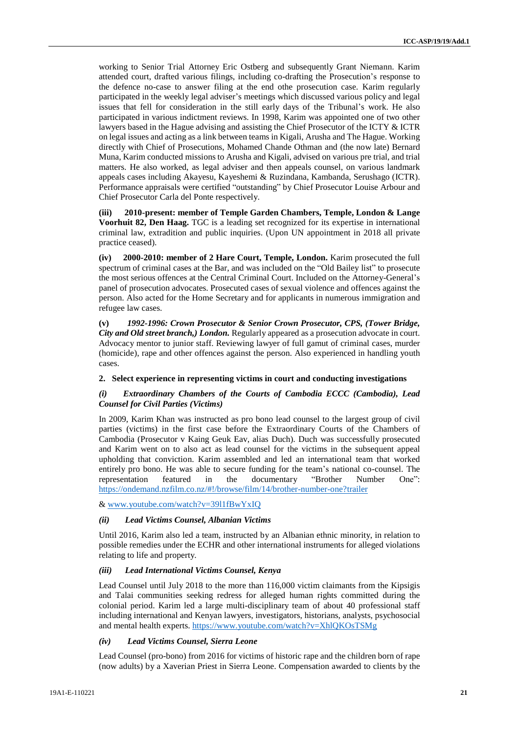working to Senior Trial Attorney Eric Ostberg and subsequently Grant Niemann. Karim attended court, drafted various filings, including co-drafting the Prosecution's response to the defence no-case to answer filing at the end othe prosecution case. Karim regularly participated in the weekly legal adviser's meetings which discussed various policy and legal issues that fell for consideration in the still early days of the Tribunal's work. He also participated in various indictment reviews. In 1998, Karim was appointed one of two other lawyers based in the Hague advising and assisting the Chief Prosecutor of the ICTY & ICTR on legal issues and acting as a link between teams in Kigali, Arusha and The Hague. Working directly with Chief of Prosecutions, Mohamed Chande Othman and (the now late) Bernard Muna, Karim conducted missions to Arusha and Kigali, advised on various pre trial, and trial matters. He also worked, as legal adviser and then appeals counsel, on various landmark appeals cases including Akayesu, Kayeshemi & Ruzindana, Kambanda, Serushago (ICTR). Performance appraisals were certified "outstanding" by Chief Prosecutor Louise Arbour and Chief Prosecutor Carla del Ponte respectively.

**(iii) 2010-present: member of Temple Garden Chambers, Temple, London & Lange Voorhuit 82, Den Haag.** TGC is a leading set recognized for its expertise in international criminal law, extradition and public inquiries. (Upon UN appointment in 2018 all private practice ceased).

**(iv) 2000-2010: member of 2 Hare Court, Temple, London.** Karim prosecuted the full spectrum of criminal cases at the Bar, and was included on the "Old Bailey list" to prosecute the most serious offences at the Central Criminal Court. Included on the Attorney-General's panel of prosecution advocates. Prosecuted cases of sexual violence and offences against the person. Also acted for the Home Secretary and for applicants in numerous immigration and refugee law cases.

**(v)** *1992-1996: Crown Prosecutor & Senior Crown Prosecutor, CPS, (Tower Bridge, City and Old street branch,) London.* Regularly appeared as a prosecution advocate in court. Advocacy mentor to junior staff. Reviewing lawyer of full gamut of criminal cases, murder (homicide), rape and other offences against the person. Also experienced in handling youth cases.

**2. Select experience in representing victims in court and conducting investigations**

## *(i) Extraordinary Chambers of the Courts of Cambodia ECCC (Cambodia), Lead Counsel for Civil Parties (Victims)*

In 2009, Karim Khan was instructed as pro bono lead counsel to the largest group of civil parties (victims) in the first case before the Extraordinary Courts of the Chambers of Cambodia (Prosecutor v Kaing Geuk Eav, alias Duch). Duch was successfully prosecuted and Karim went on to also act as lead counsel for the victims in the subsequent appeal upholding that conviction. Karim assembled and led an international team that worked entirely pro bono. He was able to secure funding for the team's national co-counsel. The representation featured in the documentary "Brother Number One": <https://ondemand.nzfilm.co.nz/#!/browse/film/14/brother-number-one?trailer>

[& www.youtube.com/watch?v=39l1fBwYxIQ](http://www.youtube.com/watch?v=39l1fBwYxIQ)

### *(ii) Lead Victims Counsel, Albanian Victims*

Until 2016, Karim also led a team, instructed by an Albanian ethnic minority, in relation to possible remedies under the ECHR and other international instruments for alleged violations relating to life and property.

### *(iii) Lead International Victims Counsel, Kenya*

Lead Counsel until July 2018 to the more than 116,000 victim claimants from the Kipsigis and Talai communities seeking redress for alleged human rights committed during the colonial period. Karim led a large multi-disciplinary team of about 40 professional staff including international and Kenyan lawyers, investigators, historians, analysts, psychosocial and mental health experts.<https://www.youtube.com/watch?v=XhlQKOsTSMg>

# *(iv) Lead Victims Counsel, Sierra Leone*

Lead Counsel (pro-bono) from 2016 for victims of historic rape and the children born of rape (now adults) by a Xaverian Priest in Sierra Leone. Compensation awarded to clients by the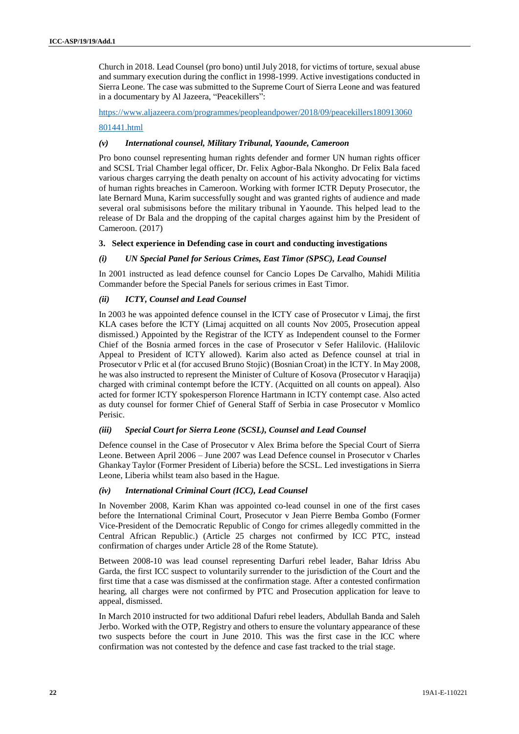Church in 2018. Lead Counsel (pro bono) until July 2018, for victims of torture, sexual abuse and summary execution during the conflict in 1998-1999. Active investigations conducted in Sierra Leone. The case was submitted to the Supreme Court of Sierra Leone and was featured in a documentary by Al Jazeera, "Peacekillers":

[https://www.aljazeera.com/programmes/peopleandpower/2018/09/peacekillers180913060](https://www.aljazeera.com/programmes/peopleandpower/2018/09/peacekillers180913060801441.html)

### [801441.html](https://www.aljazeera.com/programmes/peopleandpower/2018/09/peacekillers180913060801441.html)

### *(v) International counsel, Military Tribunal, Yaounde, Cameroon*

Pro bono counsel representing human rights defender and former UN human rights officer and SCSL Trial Chamber legal officer, Dr. Felix Agbor-Bala Nkongho. Dr Felix Bala faced various charges carrying the death penalty on account of his activity advocating for victims of human rights breaches in Cameroon. Working with former ICTR Deputy Prosecutor, the late Bernard Muna, Karim successfully sought and was granted rights of audience and made several oral submisisons before the military tribunal in Yaounde. This helped lead to the release of Dr Bala and the dropping of the capital charges against him by the President of Cameroon. (2017)

# **3. Select experience in Defending case in court and conducting investigations**

### *(i) UN Special Panel for Serious Crimes, East Timor (SPSC), Lead Counsel*

In 2001 instructed as lead defence counsel for Cancio Lopes De Carvalho, Mahidi Militia Commander before the Special Panels for serious crimes in East Timor.

### *(ii) ICTY, Counsel and Lead Counsel*

In 2003 he was appointed defence counsel in the ICTY case of Prosecutor v Limaj, the first KLA cases before the ICTY (Limaj acquitted on all counts Nov 2005, Prosecution appeal dismissed.) Appointed by the Registrar of the ICTY as Independent counsel to the Former Chief of the Bosnia armed forces in the case of Prosecutor v Sefer Halilovic. (Halilovic Appeal to President of ICTY allowed). Karim also acted as Defence counsel at trial in Prosecutor v Prlic et al (for accused Bruno Stojic) (Bosnian Croat) in the ICTY. In May 2008, he was also instructed to represent the Minister of Culture of Kosova (Prosecutor v Haraqija) charged with criminal contempt before the ICTY. (Acquitted on all counts on appeal). Also acted for former ICTY spokesperson Florence Hartmann in ICTY contempt case. Also acted as duty counsel for former Chief of General Staff of Serbia in case Prosecutor v Momlico Perisic.

# *(iii) Special Court for Sierra Leone (SCSL), Counsel and Lead Counsel*

Defence counsel in the Case of Prosecutor v Alex Brima before the Special Court of Sierra Leone. Between April 2006 – June 2007 was Lead Defence counsel in Prosecutor v Charles Ghankay Taylor (Former President of Liberia) before the SCSL. Led investigations in Sierra Leone, Liberia whilst team also based in the Hague.

### *(iv) International Criminal Court (ICC), Lead Counsel*

In November 2008, Karim Khan was appointed co-lead counsel in one of the first cases before the International Criminal Court, Prosecutor v Jean Pierre Bemba Gombo (Former Vice-President of the Democratic Republic of Congo for crimes allegedly committed in the Central African Republic.) (Article 25 charges not confirmed by ICC PTC, instead confirmation of charges under Article 28 of the Rome Statute).

Between 2008-10 was lead counsel representing Darfuri rebel leader, Bahar Idriss Abu Garda, the first ICC suspect to voluntarily surrender to the jurisdiction of the Court and the first time that a case was dismissed at the confirmation stage. After a contested confirmation hearing, all charges were not confirmed by PTC and Prosecution application for leave to appeal, dismissed.

In March 2010 instructed for two additional Dafuri rebel leaders, Abdullah Banda and Saleh Jerbo. Worked with the OTP, Registry and others to ensure the voluntary appearance of these two suspects before the court in June 2010. This was the first case in the ICC where confirmation was not contested by the defence and case fast tracked to the trial stage.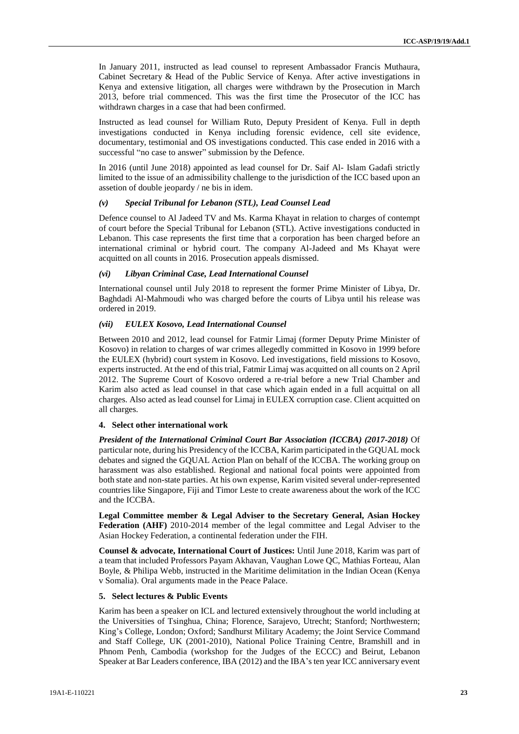In January 2011, instructed as lead counsel to represent Ambassador Francis Muthaura, Cabinet Secretary & Head of the Public Service of Kenya. After active investigations in Kenya and extensive litigation, all charges were withdrawn by the Prosecution in March 2013, before trial commenced. This was the first time the Prosecutor of the ICC has withdrawn charges in a case that had been confirmed.

Instructed as lead counsel for William Ruto, Deputy President of Kenya. Full in depth investigations conducted in Kenya including forensic evidence, cell site evidence, documentary, testimonial and OS investigations conducted. This case ended in 2016 with a successful "no case to answer" submission by the Defence.

In 2016 (until June 2018) appointed as lead counsel for Dr. Saif Al- Islam Gadafi strictly limited to the issue of an admissibility challenge to the jurisdiction of the ICC based upon an assetion of double jeopardy / ne bis in idem.

### *(v) Special Tribunal for Lebanon (STL), Lead Counsel Lead*

Defence counsel to Al Jadeed TV and Ms. Karma Khayat in relation to charges of contempt of court before the Special Tribunal for Lebanon (STL). Active investigations conducted in Lebanon. This case represents the first time that a corporation has been charged before an international criminal or hybrid court. The company Al-Jadeed and Ms Khayat were acquitted on all counts in 2016. Prosecution appeals dismissed.

#### *(vi) Libyan Criminal Case, Lead International Counsel*

International counsel until July 2018 to represent the former Prime Minister of Libya, Dr. Baghdadi Al-Mahmoudi who was charged before the courts of Libya until his release was ordered in 2019.

#### *(vii) EULEX Kosovo, Lead International Counsel*

Between 2010 and 2012, lead counsel for Fatmir Limaj (former Deputy Prime Minister of Kosovo) in relation to charges of war crimes allegedly committed in Kosovo in 1999 before the EULEX (hybrid) court system in Kosovo. Led investigations, field missions to Kosovo, experts instructed. At the end of this trial, Fatmir Limaj was acquitted on all counts on 2 April 2012. The Supreme Court of Kosovo ordered a re-trial before a new Trial Chamber and Karim also acted as lead counsel in that case which again ended in a full acquittal on all charges. Also acted as lead counsel for Limaj in EULEX corruption case. Client acquitted on all charges.

### **4. Select other international work**

*President of the International Criminal Court Bar Association (ICCBA) (2017-2018)* Of particular note, during his Presidency of the ICCBA, Karim participated in the GQUAL mock debates and signed the GQUAL Action Plan on behalf of the ICCBA. The working group on harassment was also established. Regional and national focal points were appointed from both state and non-state parties. At his own expense, Karim visited several under-represented countries like Singapore, Fiji and Timor Leste to create awareness about the work of the ICC and the ICCBA.

**Legal Committee member & Legal Adviser to the Secretary General, Asian Hockey Federation (AHF)** 2010-2014 member of the legal committee and Legal Adviser to the Asian Hockey Federation, a continental federation under the FIH.

**Counsel & advocate, International Court of Justices:** Until June 2018, Karim was part of a team that included Professors Payam Akhavan, Vaughan Lowe QC, Mathias Forteau, Alan Boyle, & Philipa Webb, instructed in the Maritime delimitation in the Indian Ocean (Kenya v Somalia). Oral arguments made in the Peace Palace.

#### **5. Select lectures & Public Events**

Karim has been a speaker on ICL and lectured extensively throughout the world including at the Universities of Tsinghua, China; Florence, Sarajevo, Utrecht; Stanford; Northwestern; King's College, London; Oxford; Sandhurst Military Academy; the Joint Service Command and Staff College, UK (2001-2010), National Police Training Centre, Bramshill and in Phnom Penh, Cambodia (workshop for the Judges of the ECCC) and Beirut, Lebanon Speaker at Bar Leaders conference, IBA (2012) and the IBA's ten year ICC anniversary event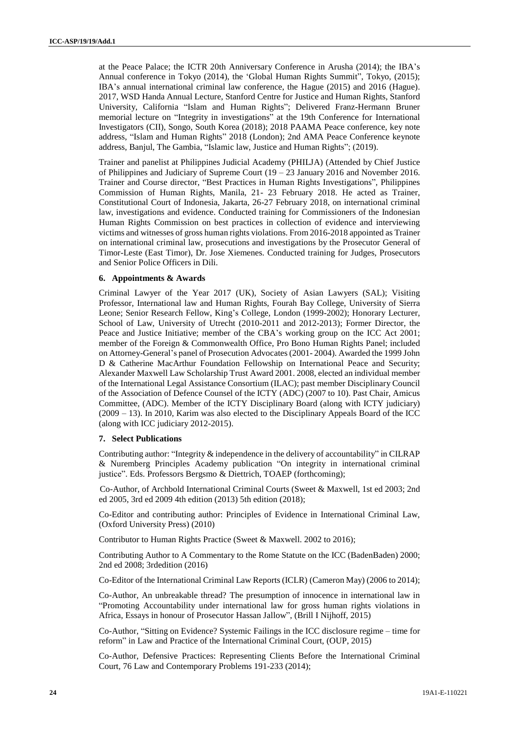at the Peace Palace; the ICTR 20th Anniversary Conference in Arusha (2014); the IBA's Annual conference in Tokyo (2014), the 'Global Human Rights Summit", Tokyo, (2015); IBA's annual international criminal law conference, the Hague (2015) and 2016 (Hague). 2017, WSD Handa Annual Lecture, Stanford Centre for Justice and Human Rights, Stanford University, California "Islam and Human Rights"; Delivered Franz-Hermann Bruner memorial lecture on "Integrity in investigations" at the 19th Conference for International Investigators (CII), Songo, South Korea (2018); 2018 PAAMA Peace conference, key note address, "Islam and Human Rights" 2018 (London); 2nd AMA Peace Conference keynote address, Banjul, The Gambia, "Islamic law, Justice and Human Rights"; (2019).

Trainer and panelist at Philippines Judicial Academy (PHILJA) (Attended by Chief Justice of Philippines and Judiciary of Supreme Court  $(19 - 23)$  January 2016 and November 2016. Trainer and Course director, "Best Practices in Human Rights Investigations", Philippines Commission of Human Rights, Manila, 21- 23 February 2018. He acted as Trainer, Constitutional Court of Indonesia, Jakarta, 26-27 February 2018, on international criminal law, investigations and evidence. Conducted training for Commissioners of the Indonesian Human Rights Commission on best practices in collection of evidence and interviewing victims and witnesses of gross human rights violations. From 2016-2018 appointed as Trainer on international criminal law, prosecutions and investigations by the Prosecutor General of Timor-Leste (East Timor), Dr. Jose Xiemenes. Conducted training for Judges, Prosecutors and Senior Police Officers in Dili.

#### **6. Appointments & Awards**

Criminal Lawyer of the Year 2017 (UK), Society of Asian Lawyers (SAL); Visiting Professor, International law and Human Rights, Fourah Bay College, University of Sierra Leone; Senior Research Fellow, King's College, London (1999-2002); Honorary Lecturer, School of Law, University of Utrecht (2010-2011 and 2012-2013); Former Director, the Peace and Justice Initiative; member of the CBA's working group on the ICC Act 2001; member of the Foreign & Commonwealth Office, Pro Bono Human Rights Panel; included on Attorney-General's panel of Prosecution Advocates (2001- 2004). Awarded the 1999 John D & Catherine MacArthur Foundation Fellowship on International Peace and Security; Alexander Maxwell Law Scholarship Trust Award 2001. 2008, elected an individual member of the International Legal Assistance Consortium (ILAC); past member Disciplinary Council of the Association of Defence Counsel of the ICTY (ADC) (2007 to 10). Past Chair, Amicus Committee, (ADC). Member of the ICTY Disciplinary Board (along with ICTY judiciary) (2009 – 13). In 2010, Karim was also elected to the Disciplinary Appeals Board of the ICC (along with ICC judiciary 2012-2015).

# **7. Select Publications**

Contributing author: "Integrity & independence in the delivery of accountability" in CILRAP & Nuremberg Principles Academy publication "On integrity in international criminal justice". Eds. Professors Bergsmo & Diettrich, TOAEP (forthcoming);

Co-Author, of Archbold International Criminal Courts (Sweet & Maxwell, 1st ed 2003; 2nd ed 2005, 3rd ed 2009 4th edition (2013) 5th edition (2018);

Co-Editor and contributing author: Principles of Evidence in International Criminal Law, (Oxford University Press) (2010)

Contributor to Human Rights Practice (Sweet & Maxwell. 2002 to 2016);

Contributing Author to A Commentary to the Rome Statute on the ICC (BadenBaden) 2000; 2nd ed 2008; 3rdedition (2016)

Co-Editor of the International Criminal Law Reports (ICLR) (Cameron May) (2006 to 2014);

Co-Author, An unbreakable thread? The presumption of innocence in international law in "Promoting Accountability under international law for gross human rights violations in Africa, Essays in honour of Prosecutor Hassan Jallow", (Brill I Nijhoff, 2015)

Co-Author, "Sitting on Evidence? Systemic Failings in the ICC disclosure regime – time for reform" in Law and Practice of the International Criminal Court, (OUP, 2015)

Co-Author, Defensive Practices: Representing Clients Before the International Criminal Court, 76 Law and Contemporary Problems 191-233 (2014);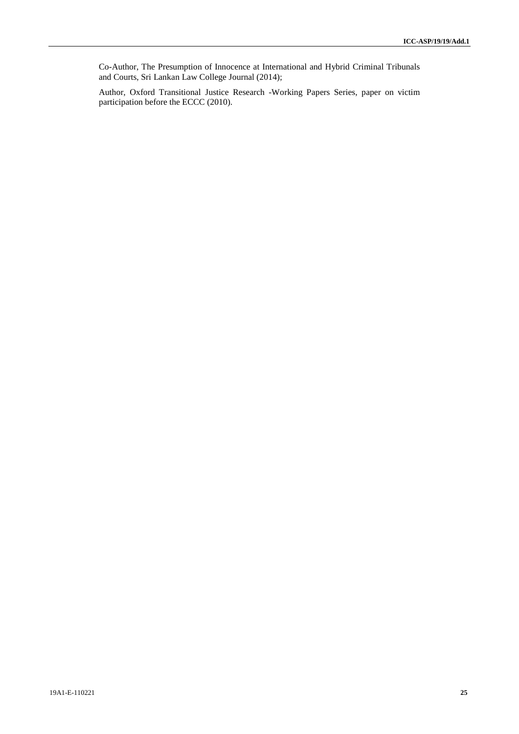Co-Author, The Presumption of Innocence at International and Hybrid Criminal Tribunals and Courts, Sri Lankan Law College Journal (2014);

Author, Oxford Transitional Justice Research -Working Papers Series, paper on victim participation before the ECCC (2010).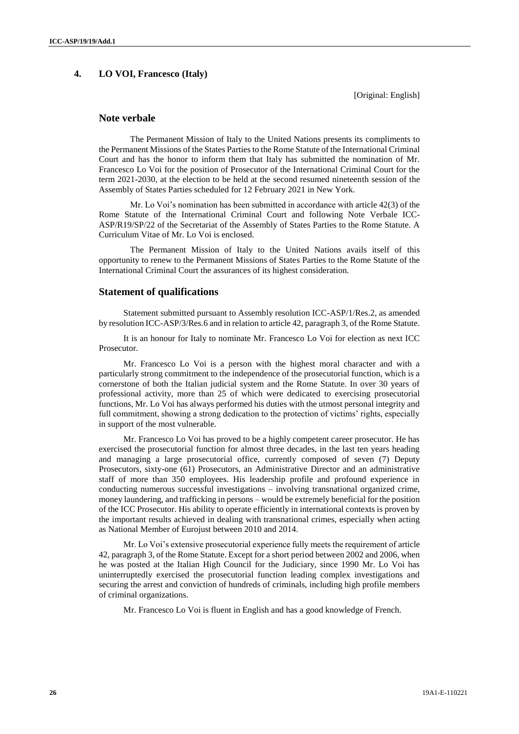# **4. LO VOI, Francesco (Italy)**

[Original: English]

# **Note verbale**

The Permanent Mission of Italy to the United Nations presents its compliments to the Permanent Missions of the States Parties to the Rome Statute of the International Criminal Court and has the honor to inform them that Italy has submitted the nomination of Mr. Francesco Lo Voi for the position of Prosecutor of the International Criminal Court for the term 2021-2030, at the election to be held at the second resumed nineteenth session of the Assembly of States Parties scheduled for 12 February 2021 in New York.

Mr. Lo Voi's nomination has been submitted in accordance with article 42(3) of the Rome Statute of the International Criminal Court and following Note Verbale ICC-ASP/R19/SP/22 of the Secretariat of the Assembly of States Parties to the Rome Statute. A Curriculum Vitae of Mr. Lo Voi is enclosed.

The Permanent Mission of Italy to the United Nations avails itself of this opportunity to renew to the Permanent Missions of States Parties to the Rome Statute of the International Criminal Court the assurances of its highest consideration.

# **Statement of qualifications**

Statement submitted pursuant to Assembly resolution ICC-ASP/1/Res.2, as amended by resolution ICC-ASP/3/Res.6 and in relation to article 42, paragraph 3, of the Rome Statute.

It is an honour for Italy to nominate Mr. Francesco Lo Voi for election as next ICC Prosecutor.

Mr. Francesco Lo Voi is a person with the highest moral character and with a particularly strong commitment to the independence of the prosecutorial function, which is a cornerstone of both the Italian judicial system and the Rome Statute. In over 30 years of professional activity, more than 25 of which were dedicated to exercising prosecutorial functions, Mr. Lo Voi has always performed his duties with the utmost personal integrity and full commitment, showing a strong dedication to the protection of victims' rights, especially in support of the most vulnerable.

Mr. Francesco Lo Voi has proved to be a highly competent career prosecutor. He has exercised the prosecutorial function for almost three decades, in the last ten years heading and managing a large prosecutorial office, currently composed of seven (7) Deputy Prosecutors, sixty-one (61) Prosecutors, an Administrative Director and an administrative staff of more than 350 employees. His leadership profile and profound experience in conducting numerous successful investigations – involving transnational organized crime, money laundering, and trafficking in persons – would be extremely beneficial for the position of the ICC Prosecutor. His ability to operate efficiently in international contexts is proven by the important results achieved in dealing with transnational crimes, especially when acting as National Member of Eurojust between 2010 and 2014.

Mr. Lo Voi's extensive prosecutorial experience fully meets the requirement of article 42, paragraph 3, of the Rome Statute. Except for a short period between 2002 and 2006, when he was posted at the Italian High Council for the Judiciary, since 1990 Mr. Lo Voi has uninterruptedly exercised the prosecutorial function leading complex investigations and securing the arrest and conviction of hundreds of criminals, including high profile members of criminal organizations.

Mr. Francesco Lo Voi is fluent in English and has a good knowledge of French.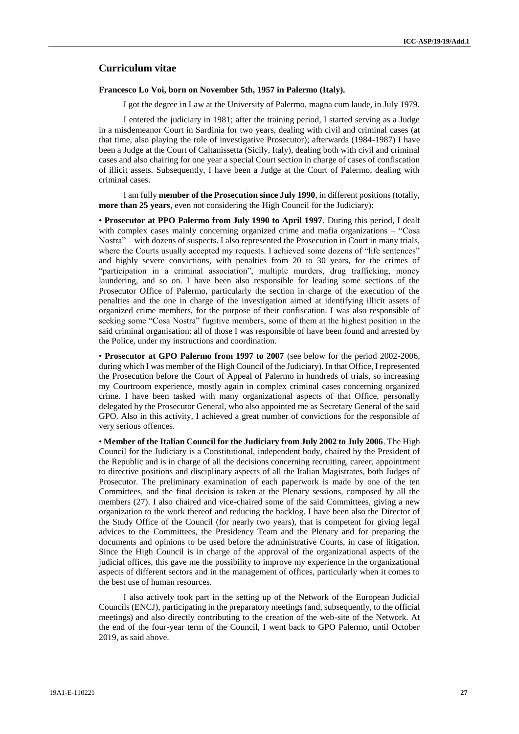# **Curriculum vitae**

#### **Francesco Lo Voi, born on November 5th, 1957 in Palermo (Italy).**

I got the degree in Law at the University of Palermo, magna cum laude, in July 1979.

I entered the judiciary in 1981; after the training period, I started serving as a Judge in a misdemeanor Court in Sardinia for two years, dealing with civil and criminal cases (at that time, also playing the role of investigative Prosecutor); afterwards (1984-1987) I have been a Judge at the Court of Caltanissetta (Sicily, Italy), dealing both with civil and criminal cases and also chairing for one year a special Court section in charge of cases of confiscation of illicit assets. Subsequently, I have been a Judge at the Court of Palermo, dealing with criminal cases.

I am fully **member of the Prosecution since July 1990**, in different positions (totally, **more than 25 years**, even not considering the High Council for the Judiciary):

• **Prosecutor at PPO Palermo from July 1990 to April 1997**. During this period, I dealt with complex cases mainly concerning organized crime and mafia organizations – "Cosa Nostra" – with dozens of suspects. I also represented the Prosecution in Court in many trials, where the Courts usually accepted my requests. I achieved some dozens of "life sentences" and highly severe convictions, with penalties from 20 to 30 years, for the crimes of "participation in a criminal association", multiple murders, drug trafficking, money laundering, and so on. I have been also responsible for leading some sections of the Prosecutor Office of Palermo, particularly the section in charge of the execution of the penalties and the one in charge of the investigation aimed at identifying illicit assets of organized crime members, for the purpose of their confiscation. I was also responsible of seeking some "Cosa Nostra" fugitive members, some of them at the highest position in the said criminal organisation: all of those I was responsible of have been found and arrested by the Police, under my instructions and coordination.

• **Prosecutor at GPO Palermo from 1997 to 2007** (see below for the period 2002-2006, during which I was member of the High Council of the Judiciary). In that Office, I represented the Prosecution before the Court of Appeal of Palermo in hundreds of trials, so increasing my Courtroom experience, mostly again in complex criminal cases concerning organized crime. I have been tasked with many organizational aspects of that Office, personally delegated by the Prosecutor General, who also appointed me as Secretary General of the said GPO. Also in this activity, I achieved a great number of convictions for the responsible of very serious offences.

• **Member of the Italian Council for the Judiciary from July 2002 to July 2006**. The High Council for the Judiciary is a Constitutional, independent body, chaired by the President of the Republic and is in charge of all the decisions concerning recruiting, career, appointment to directive positions and disciplinary aspects of all the Italian Magistrates, both Judges of Prosecutor. The preliminary examination of each paperwork is made by one of the ten Committees, and the final decision is taken at the Plenary sessions, composed by all the members (27). I also chaired and vice-chaired some of the said Committees, giving a new organization to the work thereof and reducing the backlog. I have been also the Director of the Study Office of the Council (for nearly two years), that is competent for giving legal advices to the Committees, the Presidency Team and the Plenary and for preparing the documents and opinions to be used before the administrative Courts, in case of litigation. Since the High Council is in charge of the approval of the organizational aspects of the judicial offices, this gave me the possibility to improve my experience in the organizational aspects of different sectors and in the management of offices, particularly when it comes to the best use of human resources.

I also actively took part in the setting up of the Network of the European Judicial Councils (ENCJ), participating in the preparatory meetings (and, subsequently, to the official meetings) and also directly contributing to the creation of the web-site of the Network. At the end of the four-year term of the Council, I went back to GPO Palermo, until October 2019, as said above.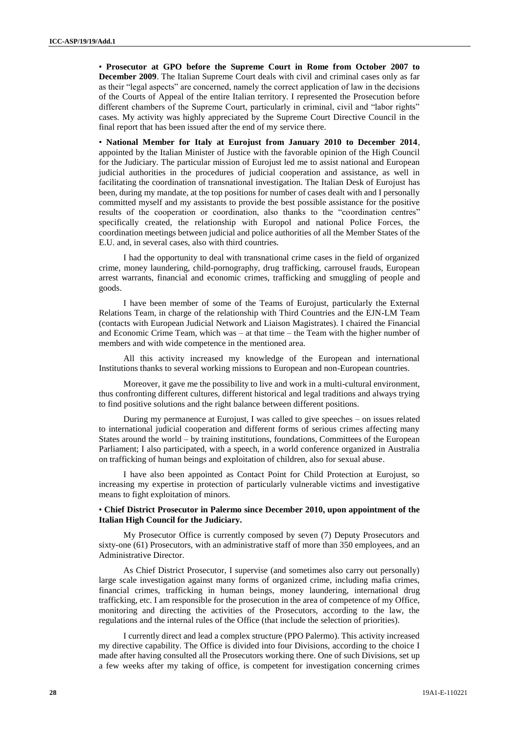• **Prosecutor at GPO before the Supreme Court in Rome from October 2007 to December 2009**. The Italian Supreme Court deals with civil and criminal cases only as far as their "legal aspects" are concerned, namely the correct application of law in the decisions of the Courts of Appeal of the entire Italian territory. I represented the Prosecution before different chambers of the Supreme Court, particularly in criminal, civil and "labor rights" cases. My activity was highly appreciated by the Supreme Court Directive Council in the final report that has been issued after the end of my service there.

• **National Member for Italy at Eurojust from January 2010 to December 2014**, appointed by the Italian Minister of Justice with the favorable opinion of the High Council for the Judiciary. The particular mission of Eurojust led me to assist national and European judicial authorities in the procedures of judicial cooperation and assistance, as well in facilitating the coordination of transnational investigation. The Italian Desk of Eurojust has been, during my mandate, at the top positions for number of cases dealt with and I personally committed myself and my assistants to provide the best possible assistance for the positive results of the cooperation or coordination, also thanks to the "coordination centres" specifically created, the relationship with Europol and national Police Forces, the coordination meetings between judicial and police authorities of all the Member States of the E.U. and, in several cases, also with third countries.

I had the opportunity to deal with transnational crime cases in the field of organized crime, money laundering, child-pornography, drug trafficking, carrousel frauds, European arrest warrants, financial and economic crimes, trafficking and smuggling of people and goods.

I have been member of some of the Teams of Eurojust, particularly the External Relations Team, in charge of the relationship with Third Countries and the EJN-LM Team (contacts with European Judicial Network and Liaison Magistrates). I chaired the Financial and Economic Crime Team, which was – at that time – the Team with the higher number of members and with wide competence in the mentioned area.

All this activity increased my knowledge of the European and international Institutions thanks to several working missions to European and non-European countries.

Moreover, it gave me the possibility to live and work in a multi-cultural environment, thus confronting different cultures, different historical and legal traditions and always trying to find positive solutions and the right balance between different positions.

During my permanence at Eurojust, I was called to give speeches – on issues related to international judicial cooperation and different forms of serious crimes affecting many States around the world – by training institutions, foundations, Committees of the European Parliament; I also participated, with a speech, in a world conference organized in Australia on trafficking of human beings and exploitation of children, also for sexual abuse.

I have also been appointed as Contact Point for Child Protection at Eurojust, so increasing my expertise in protection of particularly vulnerable victims and investigative means to fight exploitation of minors.

# • **Chief District Prosecutor in Palermo since December 2010, upon appointment of the Italian High Council for the Judiciary.**

My Prosecutor Office is currently composed by seven (7) Deputy Prosecutors and sixty-one (61) Prosecutors, with an administrative staff of more than 350 employees, and an Administrative Director.

As Chief District Prosecutor, I supervise (and sometimes also carry out personally) large scale investigation against many forms of organized crime, including mafia crimes, financial crimes, trafficking in human beings, money laundering, international drug trafficking, etc. I am responsible for the prosecution in the area of competence of my Office, monitoring and directing the activities of the Prosecutors, according to the law, the regulations and the internal rules of the Office (that include the selection of priorities).

I currently direct and lead a complex structure (PPO Palermo). This activity increased my directive capability. The Office is divided into four Divisions, according to the choice I made after having consulted all the Prosecutors working there. One of such Divisions, set up a few weeks after my taking of office, is competent for investigation concerning crimes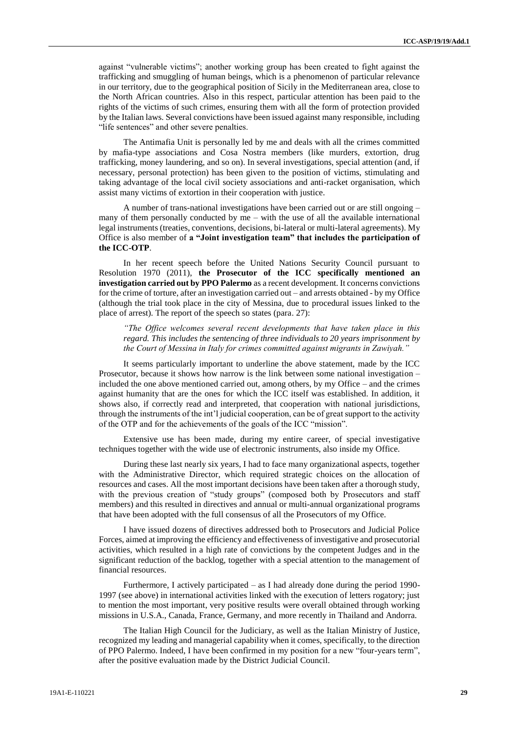against "vulnerable victims"; another working group has been created to fight against the trafficking and smuggling of human beings, which is a phenomenon of particular relevance in our territory, due to the geographical position of Sicily in the Mediterranean area, close to the North African countries. Also in this respect, particular attention has been paid to the rights of the victims of such crimes, ensuring them with all the form of protection provided by the Italian laws. Several convictions have been issued against many responsible, including "life sentences" and other severe penalties.

The Antimafia Unit is personally led by me and deals with all the crimes committed by mafia-type associations and Cosa Nostra members (like murders, extortion, drug trafficking, money laundering, and so on). In several investigations, special attention (and, if necessary, personal protection) has been given to the position of victims, stimulating and taking advantage of the local civil society associations and anti-racket organisation, which assist many victims of extortion in their cooperation with justice.

A number of trans-national investigations have been carried out or are still ongoing – many of them personally conducted by  $me -$  with the use of all the available international legal instruments (treaties, conventions, decisions, bi-lateral or multi-lateral agreements). My Office is also member of **a "Joint investigation team" that includes the participation of the ICC-OTP**.

In her recent speech before the United Nations Security Council pursuant to Resolution 1970 (2011), **the Prosecutor of the ICC specifically mentioned an investigation carried out by PPO Palermo** as a recent development. It concerns convictions for the crime of torture, after an investigation carried out – and arrests obtained - by my Office (although the trial took place in the city of Messina, due to procedural issues linked to the place of arrest). The report of the speech so states (para. 27):

*"The Office welcomes several recent developments that have taken place in this regard. This includes the sentencing of three individuals to 20 years imprisonment by the Court of Messina in Italy for crimes committed against migrants in Zawiyah."* 

It seems particularly important to underline the above statement, made by the ICC Prosecutor, because it shows how narrow is the link between some national investigation – included the one above mentioned carried out, among others, by my Office – and the crimes against humanity that are the ones for which the ICC itself was established. In addition, it shows also, if correctly read and interpreted, that cooperation with national jurisdictions, through the instruments of the int'l judicial cooperation, can be of great support to the activity of the OTP and for the achievements of the goals of the ICC "mission".

Extensive use has been made, during my entire career, of special investigative techniques together with the wide use of electronic instruments, also inside my Office.

During these last nearly six years, I had to face many organizational aspects, together with the Administrative Director, which required strategic choices on the allocation of resources and cases. All the most important decisions have been taken after a thorough study, with the previous creation of "study groups" (composed both by Prosecutors and staff members) and this resulted in directives and annual or multi-annual organizational programs that have been adopted with the full consensus of all the Prosecutors of my Office.

I have issued dozens of directives addressed both to Prosecutors and Judicial Police Forces, aimed at improving the efficiency and effectiveness of investigative and prosecutorial activities, which resulted in a high rate of convictions by the competent Judges and in the significant reduction of the backlog, together with a special attention to the management of financial resources.

Furthermore, I actively participated – as I had already done during the period 1990- 1997 (see above) in international activities linked with the execution of letters rogatory; just to mention the most important, very positive results were overall obtained through working missions in U.S.A., Canada, France, Germany, and more recently in Thailand and Andorra.

The Italian High Council for the Judiciary, as well as the Italian Ministry of Justice, recognized my leading and managerial capability when it comes, specifically, to the direction of PPO Palermo. Indeed, I have been confirmed in my position for a new "four-years term", after the positive evaluation made by the District Judicial Council.